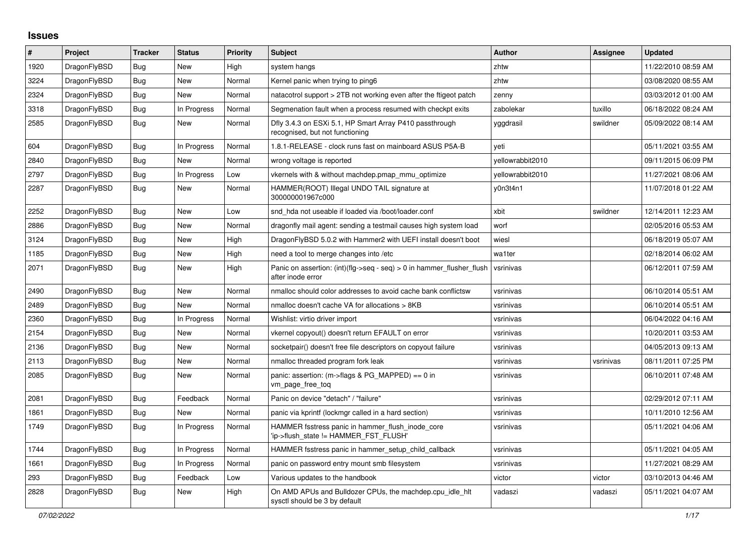## **Issues**

| $\#$ | Project      | <b>Tracker</b> | <b>Status</b> | <b>Priority</b> | <b>Subject</b>                                                                             | <b>Author</b>    | Assignee  | <b>Updated</b>      |
|------|--------------|----------------|---------------|-----------------|--------------------------------------------------------------------------------------------|------------------|-----------|---------------------|
| 1920 | DragonFlyBSD | <b>Bug</b>     | <b>New</b>    | High            | system hangs                                                                               | zhtw             |           | 11/22/2010 08:59 AM |
| 3224 | DragonFlyBSD | Bug            | New           | Normal          | Kernel panic when trying to ping6                                                          | zhtw             |           | 03/08/2020 08:55 AM |
| 2324 | DragonFlyBSD | <b>Bug</b>     | New           | Normal          | natacotrol support > 2TB not working even after the ftigeot patch                          | zenny            |           | 03/03/2012 01:00 AM |
| 3318 | DragonFlyBSD | Bug            | In Progress   | Normal          | Segmenation fault when a process resumed with checkpt exits                                | zabolekar        | tuxillo   | 06/18/2022 08:24 AM |
| 2585 | DragonFlyBSD | Bug            | <b>New</b>    | Normal          | Dfly 3.4.3 on ESXi 5.1, HP Smart Array P410 passthrough<br>recognised, but not functioning | yggdrasil        | swildner  | 05/09/2022 08:14 AM |
| 604  | DragonFlyBSD | <b>Bug</b>     | In Progress   | Normal          | 1.8.1-RELEASE - clock runs fast on mainboard ASUS P5A-B                                    | yeti             |           | 05/11/2021 03:55 AM |
| 2840 | DragonFlyBSD | Bug            | New           | Normal          | wrong voltage is reported                                                                  | yellowrabbit2010 |           | 09/11/2015 06:09 PM |
| 2797 | DragonFlyBSD | <b>Bug</b>     | In Progress   | Low             | vkernels with & without machdep.pmap mmu optimize                                          | yellowrabbit2010 |           | 11/27/2021 08:06 AM |
| 2287 | DragonFlyBSD | Bug            | New           | Normal          | HAMMER(ROOT) Illegal UNDO TAIL signature at<br>300000001967c000                            | y0n3t4n1         |           | 11/07/2018 01:22 AM |
| 2252 | DragonFlyBSD | <b>Bug</b>     | New           | Low             | snd hda not useable if loaded via /boot/loader.conf                                        | xbit             | swildner  | 12/14/2011 12:23 AM |
| 2886 | DragonFlyBSD | Bug            | <b>New</b>    | Normal          | dragonfly mail agent: sending a testmail causes high system load                           | worf             |           | 02/05/2016 05:53 AM |
| 3124 | DragonFlyBSD | <b>Bug</b>     | <b>New</b>    | High            | DragonFlyBSD 5.0.2 with Hammer2 with UEFI install doesn't boot                             | wiesl            |           | 06/18/2019 05:07 AM |
| 1185 | DragonFlyBSD | Bug            | New           | High            | need a tool to merge changes into /etc                                                     | wa1ter           |           | 02/18/2014 06:02 AM |
| 2071 | DragonFlyBSD | Bug            | New           | High            | Panic on assertion: (int)(flg->seq - seq) > 0 in hammer flusher flush<br>after inode error | vsrinivas        |           | 06/12/2011 07:59 AM |
| 2490 | DragonFlyBSD | Bug            | <b>New</b>    | Normal          | nmalloc should color addresses to avoid cache bank conflictsw                              | vsrinivas        |           | 06/10/2014 05:51 AM |
| 2489 | DragonFlyBSD | Bug            | <b>New</b>    | Normal          | nmalloc doesn't cache VA for allocations > 8KB                                             | vsrinivas        |           | 06/10/2014 05:51 AM |
| 2360 | DragonFlyBSD | <b>Bug</b>     | In Progress   | Normal          | Wishlist: virtio driver import                                                             | vsrinivas        |           | 06/04/2022 04:16 AM |
| 2154 | DragonFlyBSD | Bug            | New           | Normal          | vkernel copyout() doesn't return EFAULT on error                                           | vsrinivas        |           | 10/20/2011 03:53 AM |
| 2136 | DragonFlyBSD | Bug            | New           | Normal          | socketpair() doesn't free file descriptors on copyout failure                              | vsrinivas        |           | 04/05/2013 09:13 AM |
| 2113 | DragonFlyBSD | Bug            | New           | Normal          | nmalloc threaded program fork leak                                                         | vsrinivas        | vsrinivas | 08/11/2011 07:25 PM |
| 2085 | DragonFlyBSD | Bug            | New           | Normal          | panic: assertion: $(m\rightarrow$ flags & PG MAPPED) == 0 in<br>vm_page_free_toq           | vsrinivas        |           | 06/10/2011 07:48 AM |
| 2081 | DragonFlyBSD | <b>Bug</b>     | Feedback      | Normal          | Panic on device "detach" / "failure"                                                       | vsrinivas        |           | 02/29/2012 07:11 AM |
| 1861 | DragonFlyBSD | Bug            | New           | Normal          | panic via kprintf (lockmgr called in a hard section)                                       | vsrinivas        |           | 10/11/2010 12:56 AM |
| 1749 | DragonFlyBSD | <b>Bug</b>     | In Progress   | Normal          | HAMMER fsstress panic in hammer flush inode core<br>'ip->flush state != HAMMER FST FLUSH'  | vsrinivas        |           | 05/11/2021 04:06 AM |
| 1744 | DragonFlyBSD | Bug            | In Progress   | Normal          | HAMMER fsstress panic in hammer setup child callback                                       | vsrinivas        |           | 05/11/2021 04:05 AM |
| 1661 | DragonFlyBSD | Bug            | In Progress   | Normal          | panic on password entry mount smb filesystem                                               | vsrinivas        |           | 11/27/2021 08:29 AM |
| 293  | DragonFlyBSD | Bug            | Feedback      | Low             | Various updates to the handbook                                                            | victor           | victor    | 03/10/2013 04:46 AM |
| 2828 | DragonFlyBSD | <b>Bug</b>     | <b>New</b>    | High            | On AMD APUs and Bulldozer CPUs, the machdep.cpu_idle_hlt<br>sysctl should be 3 by default  | vadaszi          | vadaszi   | 05/11/2021 04:07 AM |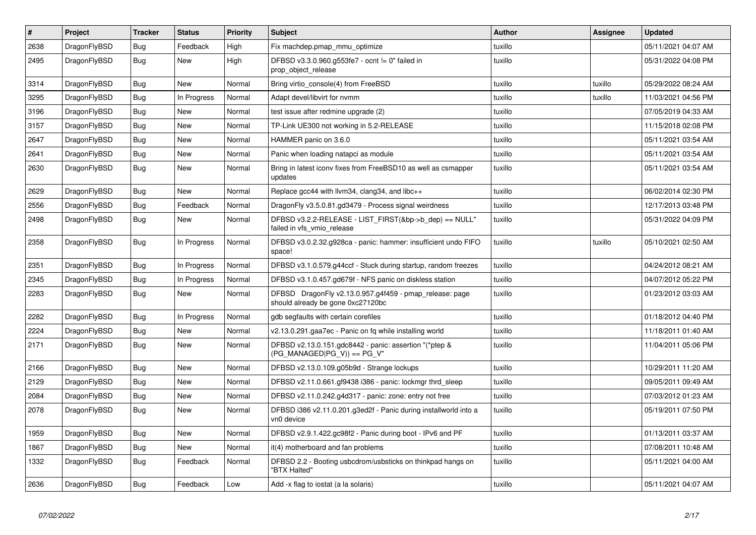| $\vert$ # | Project      | <b>Tracker</b> | <b>Status</b> | <b>Priority</b> | <b>Subject</b>                                                                               | <b>Author</b> | Assignee | Updated             |
|-----------|--------------|----------------|---------------|-----------------|----------------------------------------------------------------------------------------------|---------------|----------|---------------------|
| 2638      | DragonFlyBSD | Bug            | Feedback      | High            | Fix machdep.pmap mmu optimize                                                                | tuxillo       |          | 05/11/2021 04:07 AM |
| 2495      | DragonFlyBSD | <b>Bug</b>     | <b>New</b>    | High            | DFBSD v3.3.0.960.g553fe7 - ocnt != 0" failed in<br>prop object release                       | tuxillo       |          | 05/31/2022 04:08 PM |
| 3314      | DragonFlyBSD | Bug            | <b>New</b>    | Normal          | Bring virtio console(4) from FreeBSD                                                         | tuxillo       | tuxillo  | 05/29/2022 08:24 AM |
| 3295      | DragonFlyBSD | Bug            | In Progress   | Normal          | Adapt devel/libvirt for nvmm                                                                 | tuxillo       | tuxillo  | 11/03/2021 04:56 PM |
| 3196      | DragonFlyBSD | Bug            | New           | Normal          | test issue after redmine upgrade (2)                                                         | tuxillo       |          | 07/05/2019 04:33 AM |
| 3157      | DragonFlyBSD | <b>Bug</b>     | New           | Normal          | TP-Link UE300 not working in 5.2-RELEASE                                                     | tuxillo       |          | 11/15/2018 02:08 PM |
| 2647      | DragonFlyBSD | <b>Bug</b>     | <b>New</b>    | Normal          | HAMMER panic on 3.6.0                                                                        | tuxillo       |          | 05/11/2021 03:54 AM |
| 2641      | DragonFlyBSD | Bug            | New           | Normal          | Panic when loading natapci as module                                                         | tuxillo       |          | 05/11/2021 03:54 AM |
| 2630      | DragonFlyBSD | Bug            | New           | Normal          | Bring in latest iconv fixes from FreeBSD10 as well as csmapper<br>updates                    | tuxillo       |          | 05/11/2021 03:54 AM |
| 2629      | DragonFlyBSD | Bug            | <b>New</b>    | Normal          | Replace gcc44 with llvm34, clang34, and libc++                                               | tuxillo       |          | 06/02/2014 02:30 PM |
| 2556      | DragonFlyBSD | Bug            | Feedback      | Normal          | DragonFly v3.5.0.81.gd3479 - Process signal weirdness                                        | tuxillo       |          | 12/17/2013 03:48 PM |
| 2498      | DragonFlyBSD | <b>Bug</b>     | <b>New</b>    | Normal          | DFBSD v3.2.2-RELEASE - LIST_FIRST(&bp->b_dep) == NULL"<br>failed in vfs vmio release         | tuxillo       |          | 05/31/2022 04:09 PM |
| 2358      | DragonFlyBSD | <b>Bug</b>     | In Progress   | Normal          | DFBSD v3.0.2.32.g928ca - panic: hammer: insufficient undo FIFO<br>space!                     | tuxillo       | tuxillo  | 05/10/2021 02:50 AM |
| 2351      | DragonFlyBSD | Bug            | In Progress   | Normal          | DFBSD v3.1.0.579.g44ccf - Stuck during startup, random freezes                               | tuxillo       |          | 04/24/2012 08:21 AM |
| 2345      | DragonFlyBSD | <b>Bug</b>     | In Progress   | Normal          | DFBSD v3.1.0.457.gd679f - NFS panic on diskless station                                      | tuxillo       |          | 04/07/2012 05:22 PM |
| 2283      | DragonFlyBSD | <b>Bug</b>     | <b>New</b>    | Normal          | DFBSD DragonFly v2.13.0.957.g4f459 - pmap_release: page<br>should already be gone 0xc27120bc | tuxillo       |          | 01/23/2012 03:03 AM |
| 2282      | DragonFlyBSD | Bug            | In Progress   | Normal          | gdb segfaults with certain corefiles                                                         | tuxillo       |          | 01/18/2012 04:40 PM |
| 2224      | DragonFlyBSD | <b>Bug</b>     | New           | Normal          | v2.13.0.291.gaa7ec - Panic on fq while installing world                                      | tuxillo       |          | 11/18/2011 01:40 AM |
| 2171      | DragonFlyBSD | Bug            | <b>New</b>    | Normal          | DFBSD v2.13.0.151.gdc8442 - panic: assertion "(*ptep &<br>(PG_MANAGED PG_V)) == PG_V"        | tuxillo       |          | 11/04/2011 05:06 PM |
| 2166      | DragonFlyBSD | Bug            | New           | Normal          | DFBSD v2.13.0.109.g05b9d - Strange lockups                                                   | tuxillo       |          | 10/29/2011 11:20 AM |
| 2129      | DragonFlyBSD | Bug            | New           | Normal          | DFBSD v2.11.0.661.gf9438 i386 - panic: lockmgr thrd_sleep                                    | tuxillo       |          | 09/05/2011 09:49 AM |
| 2084      | DragonFlyBSD | Bug            | New           | Normal          | DFBSD v2.11.0.242.g4d317 - panic: zone: entry not free                                       | tuxillo       |          | 07/03/2012 01:23 AM |
| 2078      | DragonFlyBSD | <b>Bug</b>     | New           | Normal          | DFBSD i386 v2.11.0.201.g3ed2f - Panic during installworld into a<br>vn0 device               | tuxillo       |          | 05/19/2011 07:50 PM |
| 1959      | DragonFlyBSD | Bug            | New           | Normal          | DFBSD v2.9.1.422.gc98f2 - Panic during boot - IPv6 and PF                                    | tuxillo       |          | 01/13/2011 03:37 AM |
| 1867      | DragonFlyBSD | <b>Bug</b>     | <b>New</b>    | Normal          | it(4) motherboard and fan problems                                                           | tuxillo       |          | 07/08/2011 10:48 AM |
| 1332      | DragonFlyBSD | <b>Bug</b>     | Feedback      | Normal          | DFBSD 2.2 - Booting usbcdrom/usbsticks on thinkpad hangs on<br>"BTX Halted"                  | tuxillo       |          | 05/11/2021 04:00 AM |
| 2636      | DragonFlyBSD | <b>Bug</b>     | Feedback      | Low             | Add -x flag to iostat (a la solaris)                                                         | tuxillo       |          | 05/11/2021 04:07 AM |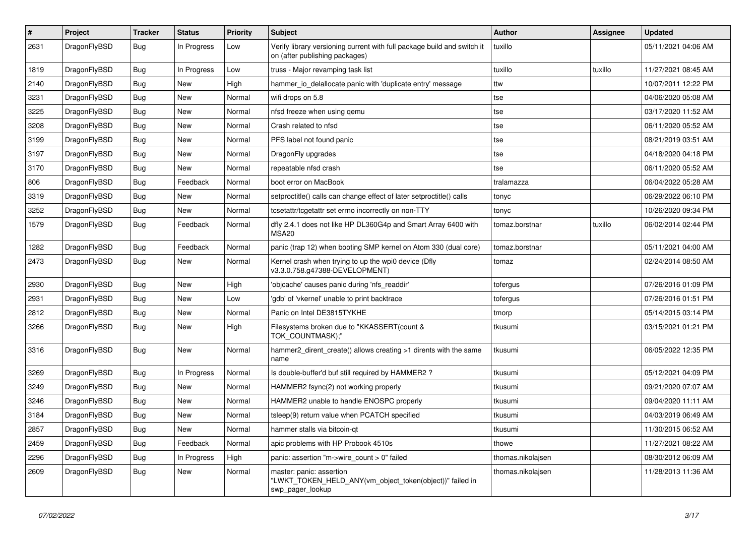| $\sharp$ | Project      | <b>Tracker</b> | <b>Status</b> | <b>Priority</b> | Subject                                                                                                   | <b>Author</b>     | Assignee | <b>Updated</b>      |
|----------|--------------|----------------|---------------|-----------------|-----------------------------------------------------------------------------------------------------------|-------------------|----------|---------------------|
| 2631     | DragonFlyBSD | <b>Bug</b>     | In Progress   | Low             | Verify library versioning current with full package build and switch it<br>on (after publishing packages) | tuxillo           |          | 05/11/2021 04:06 AM |
| 1819     | DragonFlyBSD | Bug            | In Progress   | Low             | truss - Major revamping task list                                                                         | tuxillo           | tuxillo  | 11/27/2021 08:45 AM |
| 2140     | DragonFlyBSD | Bug            | New           | High            | hammer io delallocate panic with 'duplicate entry' message                                                | ttw               |          | 10/07/2011 12:22 PM |
| 3231     | DragonFlyBSD | Bug            | New           | Normal          | wifi drops on 5.8                                                                                         | tse               |          | 04/06/2020 05:08 AM |
| 3225     | DragonFlyBSD | Bug            | New           | Normal          | nfsd freeze when using qemu                                                                               | tse               |          | 03/17/2020 11:52 AM |
| 3208     | DragonFlyBSD | Bug            | New           | Normal          | Crash related to nfsd                                                                                     | tse               |          | 06/11/2020 05:52 AM |
| 3199     | DragonFlyBSD | Bug            | New           | Normal          | PFS label not found panic                                                                                 | tse               |          | 08/21/2019 03:51 AM |
| 3197     | DragonFlyBSD | Bug            | New           | Normal          | DragonFly upgrades                                                                                        | tse               |          | 04/18/2020 04:18 PM |
| 3170     | DragonFlyBSD | Bug            | <b>New</b>    | Normal          | repeatable nfsd crash                                                                                     | tse               |          | 06/11/2020 05:52 AM |
| 806      | DragonFlyBSD | Bug            | Feedback      | Normal          | boot error on MacBook                                                                                     | tralamazza        |          | 06/04/2022 05:28 AM |
| 3319     | DragonFlyBSD | Bug            | New           | Normal          | setproctitle() calls can change effect of later setproctitle() calls                                      | tonyc             |          | 06/29/2022 06:10 PM |
| 3252     | DragonFlyBSD | Bug            | New           | Normal          | tcsetattr/tcgetattr set errno incorrectly on non-TTY                                                      | tonyc             |          | 10/26/2020 09:34 PM |
| 1579     | DragonFlyBSD | Bug            | Feedback      | Normal          | dfly 2.4.1 does not like HP DL360G4p and Smart Array 6400 with<br>MSA <sub>20</sub>                       | tomaz.borstnar    | tuxillo  | 06/02/2014 02:44 PM |
| 1282     | DragonFlyBSD | Bug            | Feedback      | Normal          | panic (trap 12) when booting SMP kernel on Atom 330 (dual core)                                           | tomaz.borstnar    |          | 05/11/2021 04:00 AM |
| 2473     | DragonFlyBSD | Bug            | New           | Normal          | Kernel crash when trying to up the wpi0 device (Dfly<br>v3.3.0.758.g47388-DEVELOPMENT)                    | tomaz             |          | 02/24/2014 08:50 AM |
| 2930     | DragonFlyBSD | Bug            | New           | High            | 'objcache' causes panic during 'nfs_readdir'                                                              | tofergus          |          | 07/26/2016 01:09 PM |
| 2931     | DragonFlyBSD | Bug            | New           | Low             | 'gdb' of 'vkernel' unable to print backtrace                                                              | tofergus          |          | 07/26/2016 01:51 PM |
| 2812     | DragonFlyBSD | Bug            | New           | Normal          | Panic on Intel DE3815TYKHE                                                                                | tmorp             |          | 05/14/2015 03:14 PM |
| 3266     | DragonFlyBSD | Bug            | New           | High            | Filesystems broken due to "KKASSERT(count &<br>TOK_COUNTMASK);"                                           | tkusumi           |          | 03/15/2021 01:21 PM |
| 3316     | DragonFlyBSD | Bug            | <b>New</b>    | Normal          | hammer2_dirent_create() allows creating >1 dirents with the same<br>name                                  | tkusumi           |          | 06/05/2022 12:35 PM |
| 3269     | DragonFlyBSD | Bug            | In Progress   | Normal          | Is double-buffer'd buf still required by HAMMER2 ?                                                        | tkusumi           |          | 05/12/2021 04:09 PM |
| 3249     | DragonFlyBSD | Bug            | New           | Normal          | HAMMER2 fsync(2) not working properly                                                                     | tkusumi           |          | 09/21/2020 07:07 AM |
| 3246     | DragonFlyBSD | Bug            | New           | Normal          | HAMMER2 unable to handle ENOSPC properly                                                                  | tkusumi           |          | 09/04/2020 11:11 AM |
| 3184     | DragonFlyBSD | Bug            | New           | Normal          | tsleep(9) return value when PCATCH specified                                                              | tkusumi           |          | 04/03/2019 06:49 AM |
| 2857     | DragonFlyBSD | <b>Bug</b>     | New           | Normal          | hammer stalls via bitcoin-qt                                                                              | tkusumi           |          | 11/30/2015 06:52 AM |
| 2459     | DragonFlyBSD | <b>Bug</b>     | Feedback      | Normal          | apic problems with HP Probook 4510s                                                                       | thowe             |          | 11/27/2021 08:22 AM |
| 2296     | DragonFlyBSD | <b>Bug</b>     | In Progress   | High            | panic: assertion "m->wire count > 0" failed                                                               | thomas.nikolajsen |          | 08/30/2012 06:09 AM |
| 2609     | DragonFlyBSD | <b>Bug</b>     | New           | Normal          | master: panic: assertion<br>"LWKT TOKEN HELD ANY(vm object token(object))" failed in<br>swp_pager_lookup  | thomas.nikolajsen |          | 11/28/2013 11:36 AM |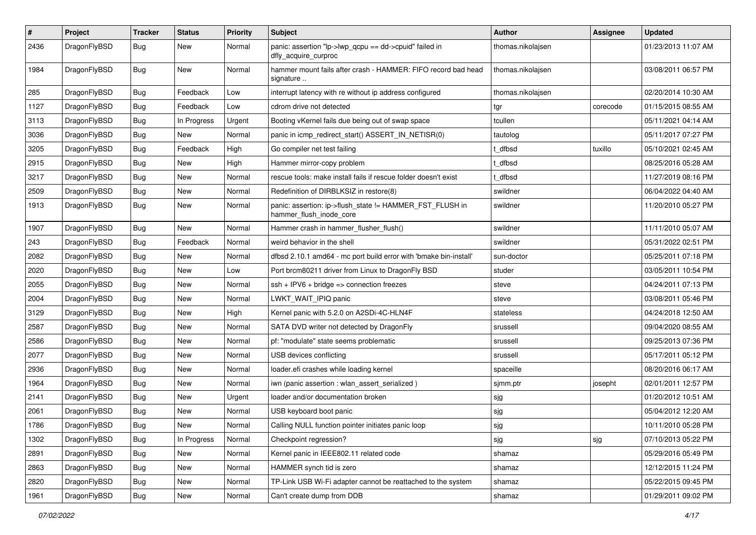| $\pmb{\#}$ | Project      | <b>Tracker</b> | <b>Status</b> | <b>Priority</b> | Subject                                                                             | Author            | Assignee | <b>Updated</b>      |
|------------|--------------|----------------|---------------|-----------------|-------------------------------------------------------------------------------------|-------------------|----------|---------------------|
| 2436       | DragonFlyBSD | Bug            | New           | Normal          | panic: assertion "lp->lwp_qcpu == dd->cpuid" failed in<br>dfly_acquire_curproc      | thomas.nikolajsen |          | 01/23/2013 11:07 AM |
| 1984       | DragonFlyBSD | Bug            | <b>New</b>    | Normal          | hammer mount fails after crash - HAMMER: FIFO record bad head<br>signature          | thomas.nikolajsen |          | 03/08/2011 06:57 PM |
| 285        | DragonFlyBSD | <b>Bug</b>     | Feedback      | Low             | interrupt latency with re without ip address configured                             | thomas.nikolajsen |          | 02/20/2014 10:30 AM |
| 1127       | DragonFlyBSD | <b>Bug</b>     | Feedback      | Low             | cdrom drive not detected                                                            | tgr               | corecode | 01/15/2015 08:55 AM |
| 3113       | DragonFlyBSD | Bug            | In Progress   | Urgent          | Booting vKernel fails due being out of swap space                                   | tcullen           |          | 05/11/2021 04:14 AM |
| 3036       | DragonFlyBSD | <b>Bug</b>     | New           | Normal          | panic in icmp_redirect_start() ASSERT_IN_NETISR(0)                                  | tautolog          |          | 05/11/2017 07:27 PM |
| 3205       | DragonFlyBSD | Bug            | Feedback      | High            | Go compiler net test failing                                                        | t dfbsd           | tuxillo  | 05/10/2021 02:45 AM |
| 2915       | DragonFlyBSD | Bug            | <b>New</b>    | High            | Hammer mirror-copy problem                                                          | t dfbsd           |          | 08/25/2016 05:28 AM |
| 3217       | DragonFlyBSD | Bug            | New           | Normal          | rescue tools: make install fails if rescue folder doesn't exist                     | : dfbsd           |          | 11/27/2019 08:16 PM |
| 2509       | DragonFlyBSD | Bug            | <b>New</b>    | Normal          | Redefinition of DIRBLKSIZ in restore(8)                                             | swildner          |          | 06/04/2022 04:40 AM |
| 1913       | DragonFlyBSD | Bug            | New           | Normal          | panic: assertion: ip->flush_state != HAMMER_FST_FLUSH in<br>hammer_flush_inode_core | swildner          |          | 11/20/2010 05:27 PM |
| 1907       | DragonFlyBSD | Bug            | <b>New</b>    | Normal          | Hammer crash in hammer_flusher_flush()                                              | swildner          |          | 11/11/2010 05:07 AM |
| 243        | DragonFlyBSD | <b>Bug</b>     | Feedback      | Normal          | weird behavior in the shell                                                         | swildner          |          | 05/31/2022 02:51 PM |
| 2082       | DragonFlyBSD | Bug            | New           | Normal          | dfbsd 2.10.1 amd64 - mc port build error with 'bmake bin-install'                   | sun-doctor        |          | 05/25/2011 07:18 PM |
| 2020       | DragonFlyBSD | <b>Bug</b>     | <b>New</b>    | Low             | Port brcm80211 driver from Linux to DragonFly BSD                                   | studer            |          | 03/05/2011 10:54 PM |
| 2055       | DragonFlyBSD | <b>Bug</b>     | New           | Normal          | $ssh + IPV6 + bridge \Rightarrow connection freezes$                                | steve             |          | 04/24/2011 07:13 PM |
| 2004       | DragonFlyBSD | Bug            | <b>New</b>    | Normal          | LWKT_WAIT_IPIQ panic                                                                | steve             |          | 03/08/2011 05:46 PM |
| 3129       | DragonFlyBSD | Bug            | New           | High            | Kernel panic with 5.2.0 on A2SDi-4C-HLN4F                                           | stateless         |          | 04/24/2018 12:50 AM |
| 2587       | DragonFlyBSD | Bug            | <b>New</b>    | Normal          | SATA DVD writer not detected by DragonFly                                           | srussell          |          | 09/04/2020 08:55 AM |
| 2586       | DragonFlyBSD | Bug            | <b>New</b>    | Normal          | pf: "modulate" state seems problematic                                              | srussell          |          | 09/25/2013 07:36 PM |
| 2077       | DragonFlyBSD | Bug            | New           | Normal          | USB devices conflicting                                                             | srussell          |          | 05/17/2011 05:12 PM |
| 2936       | DragonFlyBSD | Bug            | <b>New</b>    | Normal          | loader.efi crashes while loading kernel                                             | spaceille         |          | 08/20/2016 06:17 AM |
| 1964       | DragonFlyBSD | <b>Bug</b>     | New           | Normal          | iwn (panic assertion : wlan assert serialized)                                      | sjmm.ptr          | josepht  | 02/01/2011 12:57 PM |
| 2141       | DragonFlyBSD | <b>Bug</b>     | New           | Urgent          | loader and/or documentation broken                                                  | sjg               |          | 01/20/2012 10:51 AM |
| 2061       | DragonFlyBSD | <b>Bug</b>     | New           | Normal          | USB keyboard boot panic                                                             | sjg               |          | 05/04/2012 12:20 AM |
| 1786       | DragonFlyBSD | Bug            | New           | Normal          | Calling NULL function pointer initiates panic loop                                  | sjg               |          | 10/11/2010 05:28 PM |
| 1302       | DragonFlyBSD | Bug            | In Progress   | Normal          | Checkpoint regression?                                                              | sjg               | sjg      | 07/10/2013 05:22 PM |
| 2891       | DragonFlyBSD | <b>Bug</b>     | New           | Normal          | Kernel panic in IEEE802.11 related code                                             | shamaz            |          | 05/29/2016 05:49 PM |
| 2863       | DragonFlyBSD | <b>Bug</b>     | New           | Normal          | HAMMER synch tid is zero                                                            | shamaz            |          | 12/12/2015 11:24 PM |
| 2820       | DragonFlyBSD | Bug            | New           | Normal          | TP-Link USB Wi-Fi adapter cannot be reattached to the system                        | shamaz            |          | 05/22/2015 09:45 PM |
| 1961       | DragonFlyBSD | <b>Bug</b>     | New           | Normal          | Can't create dump from DDB                                                          | shamaz            |          | 01/29/2011 09:02 PM |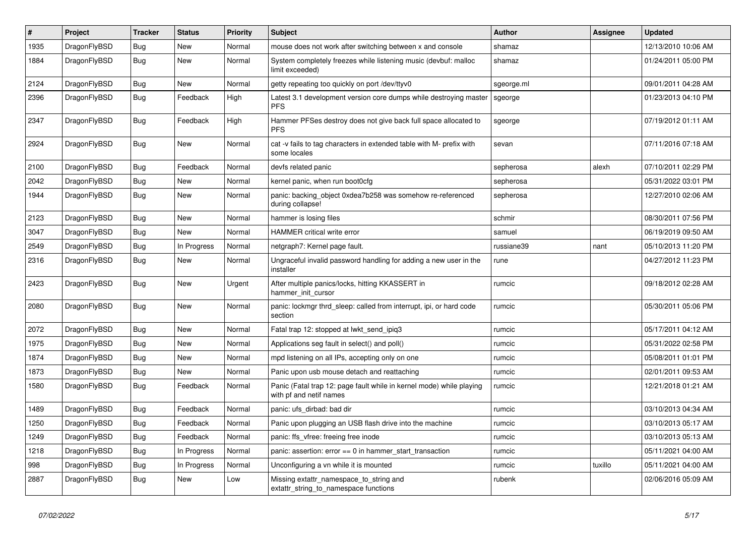| $\vert$ # | Project      | <b>Tracker</b> | <b>Status</b> | <b>Priority</b> | <b>Subject</b>                                                                                  | <b>Author</b> | Assignee | Updated             |
|-----------|--------------|----------------|---------------|-----------------|-------------------------------------------------------------------------------------------------|---------------|----------|---------------------|
| 1935      | DragonFlyBSD | <b>Bug</b>     | <b>New</b>    | Normal          | mouse does not work after switching between x and console                                       | shamaz        |          | 12/13/2010 10:06 AM |
| 1884      | DragonFlyBSD | <b>Bug</b>     | <b>New</b>    | Normal          | System completely freezes while listening music (devbuf: malloc<br>limit exceeded)              | shamaz        |          | 01/24/2011 05:00 PM |
| 2124      | DragonFlyBSD | <b>Bug</b>     | New           | Normal          | getty repeating too quickly on port /dev/ttyv0                                                  | sgeorge.ml    |          | 09/01/2011 04:28 AM |
| 2396      | DragonFlyBSD | Bug            | Feedback      | High            | Latest 3.1 development version core dumps while destroying master<br><b>PFS</b>                 | sgeorge       |          | 01/23/2013 04:10 PM |
| 2347      | DragonFlyBSD | <b>Bug</b>     | Feedback      | High            | Hammer PFSes destroy does not give back full space allocated to<br><b>PFS</b>                   | sgeorge       |          | 07/19/2012 01:11 AM |
| 2924      | DragonFlyBSD | <b>Bug</b>     | New           | Normal          | cat -v fails to tag characters in extended table with M- prefix with<br>some locales            | sevan         |          | 07/11/2016 07:18 AM |
| 2100      | DragonFlyBSD | <b>Bug</b>     | Feedback      | Normal          | devfs related panic                                                                             | sepherosa     | alexh    | 07/10/2011 02:29 PM |
| 2042      | DragonFlyBSD | <b>Bug</b>     | <b>New</b>    | Normal          | kernel panic, when run boot0cfg                                                                 | sepherosa     |          | 05/31/2022 03:01 PM |
| 1944      | DragonFlyBSD | <b>Bug</b>     | <b>New</b>    | Normal          | panic: backing object 0xdea7b258 was somehow re-referenced<br>during collapse!                  | sepherosa     |          | 12/27/2010 02:06 AM |
| 2123      | DragonFlyBSD | <b>Bug</b>     | New           | Normal          | hammer is losing files                                                                          | schmir        |          | 08/30/2011 07:56 PM |
| 3047      | DragonFlyBSD | <b>Bug</b>     | New           | Normal          | <b>HAMMER</b> critical write error                                                              | samuel        |          | 06/19/2019 09:50 AM |
| 2549      | DragonFlyBSD | Bug            | In Progress   | Normal          | netgraph7: Kernel page fault.                                                                   | russiane39    | nant     | 05/10/2013 11:20 PM |
| 2316      | DragonFlyBSD | <b>Bug</b>     | New           | Normal          | Ungraceful invalid password handling for adding a new user in the<br>installer                  | rune          |          | 04/27/2012 11:23 PM |
| 2423      | DragonFlyBSD | <b>Bug</b>     | <b>New</b>    | Urgent          | After multiple panics/locks, hitting KKASSERT in<br>hammer init cursor                          | rumcic        |          | 09/18/2012 02:28 AM |
| 2080      | DragonFlyBSD | <b>Bug</b>     | <b>New</b>    | Normal          | panic: lockmgr thrd sleep: called from interrupt, ipi, or hard code<br>section                  | rumcic        |          | 05/30/2011 05:06 PM |
| 2072      | DragonFlyBSD | <b>Bug</b>     | New           | Normal          | Fatal trap 12: stopped at lwkt send ipig3                                                       | rumcic        |          | 05/17/2011 04:12 AM |
| 1975      | DragonFlyBSD | Bug            | New           | Normal          | Applications seg fault in select() and poll()                                                   | rumcic        |          | 05/31/2022 02:58 PM |
| 1874      | DragonFlyBSD | Bug            | New           | Normal          | mpd listening on all IPs, accepting only on one                                                 | rumcic        |          | 05/08/2011 01:01 PM |
| 1873      | DragonFlyBSD | Bug            | New           | Normal          | Panic upon usb mouse detach and reattaching                                                     | rumcic        |          | 02/01/2011 09:53 AM |
| 1580      | DragonFlyBSD | Bug            | Feedback      | Normal          | Panic (Fatal trap 12: page fault while in kernel mode) while playing<br>with pf and netif names | rumcic        |          | 12/21/2018 01:21 AM |
| 1489      | DragonFlyBSD | <b>Bug</b>     | Feedback      | Normal          | panic: ufs dirbad: bad dir                                                                      | rumcic        |          | 03/10/2013 04:34 AM |
| 1250      | DragonFlyBSD | <b>Bug</b>     | Feedback      | Normal          | Panic upon plugging an USB flash drive into the machine                                         | rumcic        |          | 03/10/2013 05:17 AM |
| 1249      | DragonFlyBSD | <b>Bug</b>     | Feedback      | Normal          | panic: ffs_vfree: freeing free inode                                                            | rumcic        |          | 03/10/2013 05:13 AM |
| 1218      | DragonFlyBSD | Bug            | In Progress   | Normal          | panic: assertion: $error == 0$ in hammer_start_transaction                                      | rumcic        |          | 05/11/2021 04:00 AM |
| 998       | DragonFlyBSD | Bug            | In Progress   | Normal          | Unconfiguring a vn while it is mounted                                                          | rumcic        | tuxillo  | 05/11/2021 04:00 AM |
| 2887      | DragonFlyBSD | <b>Bug</b>     | <b>New</b>    | Low             | Missing extattr namespace to string and<br>extattr string to namespace functions                | rubenk        |          | 02/06/2016 05:09 AM |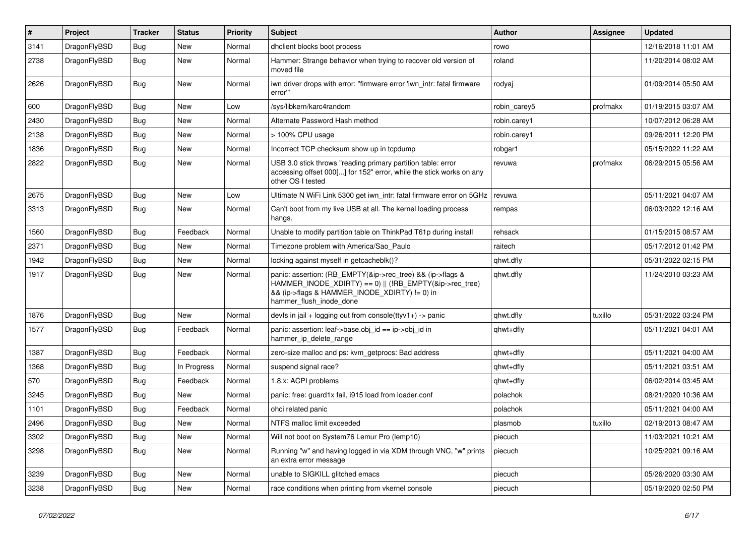| $\sharp$ | Project      | <b>Tracker</b> | <b>Status</b> | <b>Priority</b> | Subject                                                                                                                                                                                           | <b>Author</b> | Assignee | <b>Updated</b>      |
|----------|--------------|----------------|---------------|-----------------|---------------------------------------------------------------------------------------------------------------------------------------------------------------------------------------------------|---------------|----------|---------------------|
| 3141     | DragonFlyBSD | <b>Bug</b>     | <b>New</b>    | Normal          | dhclient blocks boot process                                                                                                                                                                      | rowo          |          | 12/16/2018 11:01 AM |
| 2738     | DragonFlyBSD | <b>Bug</b>     | New           | Normal          | Hammer: Strange behavior when trying to recover old version of<br>moved file                                                                                                                      | roland        |          | 11/20/2014 08:02 AM |
| 2626     | DragonFlyBSD | Bug            | <b>New</b>    | Normal          | iwn driver drops with error: "firmware error 'iwn_intr: fatal firmware<br>error""                                                                                                                 | rodyaj        |          | 01/09/2014 05:50 AM |
| 600      | DragonFlyBSD | <b>Bug</b>     | <b>New</b>    | Low             | /sys/libkern/karc4random                                                                                                                                                                          | robin carey5  | profmakx | 01/19/2015 03:07 AM |
| 2430     | DragonFlyBSD | <b>Bug</b>     | New           | Normal          | Alternate Password Hash method                                                                                                                                                                    | robin.carey1  |          | 10/07/2012 06:28 AM |
| 2138     | DragonFlyBSD | <b>Bug</b>     | <b>New</b>    | Normal          | > 100% CPU usage                                                                                                                                                                                  | robin.carey1  |          | 09/26/2011 12:20 PM |
| 1836     | DragonFlyBSD | <b>Bug</b>     | <b>New</b>    | Normal          | Incorrect TCP checksum show up in tcpdump                                                                                                                                                         | robgar1       |          | 05/15/2022 11:22 AM |
| 2822     | DragonFlyBSD | Bug            | New           | Normal          | USB 3.0 stick throws "reading primary partition table: error<br>accessing offset 000[] for 152" error, while the stick works on any<br>other OS I tested                                          | revuwa        | profmakx | 06/29/2015 05:56 AM |
| 2675     | DragonFlyBSD | Bug            | <b>New</b>    | Low             | Ultimate N WiFi Link 5300 get iwn_intr: fatal firmware error on 5GHz                                                                                                                              | revuwa        |          | 05/11/2021 04:07 AM |
| 3313     | DragonFlyBSD | <b>Bug</b>     | <b>New</b>    | Normal          | Can't boot from my live USB at all. The kernel loading process<br>hangs.                                                                                                                          | rempas        |          | 06/03/2022 12:16 AM |
| 1560     | DragonFlyBSD | Bug            | Feedback      | Normal          | Unable to modify partition table on ThinkPad T61p during install                                                                                                                                  | rehsack       |          | 01/15/2015 08:57 AM |
| 2371     | DragonFlyBSD | <b>Bug</b>     | <b>New</b>    | Normal          | Timezone problem with America/Sao_Paulo                                                                                                                                                           | raitech       |          | 05/17/2012 01:42 PM |
| 1942     | DragonFlyBSD | <b>Bug</b>     | <b>New</b>    | Normal          | locking against myself in getcacheblk()?                                                                                                                                                          | qhwt.dfly     |          | 05/31/2022 02:15 PM |
| 1917     | DragonFlyBSD | Bug            | New           | Normal          | panic: assertion: (RB_EMPTY(&ip->rec_tree) && (ip->flags &<br>HAMMER_INODE_XDIRTY) == 0)    (!RB_EMPTY(&ip->rec_tree)<br>&& (ip->flags & HAMMER_INODE_XDIRTY) != 0) in<br>hammer_flush_inode_done | qhwt.dfly     |          | 11/24/2010 03:23 AM |
| 1876     | DragonFlyBSD | Bug            | <b>New</b>    | Normal          | devfs in jail + logging out from console(ttyv1+) -> panic                                                                                                                                         | qhwt.dfly     | tuxillo  | 05/31/2022 03:24 PM |
| 1577     | DragonFlyBSD | Bug            | Feedback      | Normal          | panic: assertion: leaf->base.obj_id == ip->obj_id in<br>hammer ip delete range                                                                                                                    | qhwt+dfly     |          | 05/11/2021 04:01 AM |
| 1387     | DragonFlyBSD | Bug            | Feedback      | Normal          | zero-size malloc and ps: kvm_getprocs: Bad address                                                                                                                                                | qhwt+dfly     |          | 05/11/2021 04:00 AM |
| 1368     | DragonFlyBSD | <b>Bug</b>     | In Progress   | Normal          | suspend signal race?                                                                                                                                                                              | qhwt+dfly     |          | 05/11/2021 03:51 AM |
| 570      | DragonFlyBSD | Bug            | Feedback      | Normal          | 1.8.x: ACPI problems                                                                                                                                                                              | qhwt+dfly     |          | 06/02/2014 03:45 AM |
| 3245     | DragonFlyBSD | Bug            | <b>New</b>    | Normal          | panic: free: guard1x fail, i915 load from loader.conf                                                                                                                                             | polachok      |          | 08/21/2020 10:36 AM |
| 1101     | DragonFlyBSD | <b>Bug</b>     | Feedback      | Normal          | ohci related panic                                                                                                                                                                                | polachok      |          | 05/11/2021 04:00 AM |
| 2496     | DragonFlyBSD | <b>Bug</b>     | <b>New</b>    | Normal          | NTFS malloc limit exceeded                                                                                                                                                                        | plasmob       | tuxillo  | 02/19/2013 08:47 AM |
| 3302     | DragonFlyBSD | <b>Bug</b>     | New           | Normal          | Will not boot on System76 Lemur Pro (lemp10)                                                                                                                                                      | piecuch       |          | 11/03/2021 10:21 AM |
| 3298     | DragonFlyBSD | <b>Bug</b>     | New           | Normal          | Running "w" and having logged in via XDM through VNC, "w" prints<br>an extra error message                                                                                                        | piecuch       |          | 10/25/2021 09:16 AM |
| 3239     | DragonFlyBSD | Bug            | New           | Normal          | unable to SIGKILL glitched emacs                                                                                                                                                                  | piecuch       |          | 05/26/2020 03:30 AM |
| 3238     | DragonFlyBSD | <b>Bug</b>     | New           | Normal          | race conditions when printing from vkernel console                                                                                                                                                | piecuch       |          | 05/19/2020 02:50 PM |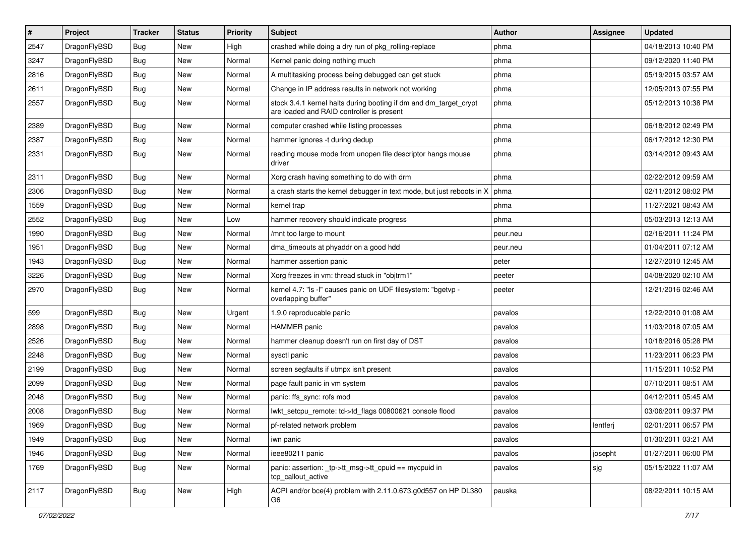| $\sharp$ | Project      | <b>Tracker</b> | <b>Status</b> | <b>Priority</b> | Subject                                                                                                        | <b>Author</b> | Assignee | <b>Updated</b>      |
|----------|--------------|----------------|---------------|-----------------|----------------------------------------------------------------------------------------------------------------|---------------|----------|---------------------|
| 2547     | DragonFlyBSD | Bug            | New           | High            | crashed while doing a dry run of pkg_rolling-replace                                                           | phma          |          | 04/18/2013 10:40 PM |
| 3247     | DragonFlyBSD | Bug            | New           | Normal          | Kernel panic doing nothing much                                                                                | phma          |          | 09/12/2020 11:40 PM |
| 2816     | DragonFlyBSD | <b>Bug</b>     | New           | Normal          | A multitasking process being debugged can get stuck                                                            | phma          |          | 05/19/2015 03:57 AM |
| 2611     | DragonFlyBSD | Bug            | <b>New</b>    | Normal          | Change in IP address results in network not working                                                            | phma          |          | 12/05/2013 07:55 PM |
| 2557     | DragonFlyBSD | Bug            | <b>New</b>    | Normal          | stock 3.4.1 kernel halts during booting if dm and dm_target_crypt<br>are loaded and RAID controller is present | phma          |          | 05/12/2013 10:38 PM |
| 2389     | DragonFlyBSD | Bug            | New           | Normal          | computer crashed while listing processes                                                                       | phma          |          | 06/18/2012 02:49 PM |
| 2387     | DragonFlyBSD | Bug            | <b>New</b>    | Normal          | hammer ignores -t during dedup                                                                                 | phma          |          | 06/17/2012 12:30 PM |
| 2331     | DragonFlyBSD | Bug            | New           | Normal          | reading mouse mode from unopen file descriptor hangs mouse<br>driver                                           | phma          |          | 03/14/2012 09:43 AM |
| 2311     | DragonFlyBSD | Bug            | <b>New</b>    | Normal          | Xorg crash having something to do with drm                                                                     | phma          |          | 02/22/2012 09:59 AM |
| 2306     | DragonFlyBSD | <b>Bug</b>     | <b>New</b>    | Normal          | a crash starts the kernel debugger in text mode, but just reboots in X                                         | phma          |          | 02/11/2012 08:02 PM |
| 1559     | DragonFlyBSD | Bug            | New           | Normal          | kernel trap                                                                                                    | phma          |          | 11/27/2021 08:43 AM |
| 2552     | DragonFlyBSD | <b>Bug</b>     | New           | Low             | hammer recovery should indicate progress                                                                       | phma          |          | 05/03/2013 12:13 AM |
| 1990     | DragonFlyBSD | Bug            | New           | Normal          | /mnt too large to mount                                                                                        | peur.neu      |          | 02/16/2011 11:24 PM |
| 1951     | DragonFlyBSD | Bug            | <b>New</b>    | Normal          | dma_timeouts at phyaddr on a good hdd                                                                          | peur.neu      |          | 01/04/2011 07:12 AM |
| 1943     | DragonFlyBSD | <b>Bug</b>     | New           | Normal          | hammer assertion panic                                                                                         | peter         |          | 12/27/2010 12:45 AM |
| 3226     | DragonFlyBSD | Bug            | New           | Normal          | Xorg freezes in vm: thread stuck in "objtrm1"                                                                  | peeter        |          | 04/08/2020 02:10 AM |
| 2970     | DragonFlyBSD | <b>Bug</b>     | New           | Normal          | kernel 4.7: "Is -I" causes panic on UDF filesystem: "bgetvp -<br>overlapping buffer"                           | peeter        |          | 12/21/2016 02:46 AM |
| 599      | DragonFlyBSD | Bug            | <b>New</b>    | Urgent          | 1.9.0 reproducable panic                                                                                       | pavalos       |          | 12/22/2010 01:08 AM |
| 2898     | DragonFlyBSD | Bug            | <b>New</b>    | Normal          | <b>HAMMER</b> panic                                                                                            | pavalos       |          | 11/03/2018 07:05 AM |
| 2526     | DragonFlyBSD | Bug            | <b>New</b>    | Normal          | hammer cleanup doesn't run on first day of DST                                                                 | pavalos       |          | 10/18/2016 05:28 PM |
| 2248     | DragonFlyBSD | Bug            | <b>New</b>    | Normal          | sysctl panic                                                                                                   | pavalos       |          | 11/23/2011 06:23 PM |
| 2199     | DragonFlyBSD | <b>Bug</b>     | New           | Normal          | screen segfaults if utmpx isn't present                                                                        | pavalos       |          | 11/15/2011 10:52 PM |
| 2099     | DragonFlyBSD | Bug            | <b>New</b>    | Normal          | page fault panic in vm system                                                                                  | pavalos       |          | 07/10/2011 08:51 AM |
| 2048     | DragonFlyBSD | Bug            | <b>New</b>    | Normal          | panic: ffs_sync: rofs mod                                                                                      | pavalos       |          | 04/12/2011 05:45 AM |
| 2008     | DragonFlyBSD | Bug            | New           | Normal          | lwkt_setcpu_remote: td->td_flags 00800621 console flood                                                        | pavalos       |          | 03/06/2011 09:37 PM |
| 1969     | DragonFlyBSD | Bug            | <b>New</b>    | Normal          | pf-related network problem                                                                                     | pavalos       | lentferj | 02/01/2011 06:57 PM |
| 1949     | DragonFlyBSD | <b>Bug</b>     | New           | Normal          | iwn panic                                                                                                      | pavalos       |          | 01/30/2011 03:21 AM |
| 1946     | DragonFlyBSD | <b>Bug</b>     | <b>New</b>    | Normal          | ieee80211 panic                                                                                                | pavalos       | josepht  | 01/27/2011 06:00 PM |
| 1769     | DragonFlyBSD | <b>Bug</b>     | New           | Normal          | panic: assertion: _tp->tt_msg->tt_cpuid == mycpuid in<br>tcp_callout_active                                    | pavalos       | sjg      | 05/15/2022 11:07 AM |
| 2117     | DragonFlyBSD | <b>Bug</b>     | New           | High            | ACPI and/or bce(4) problem with 2.11.0.673.g0d557 on HP DL380<br>G6                                            | pauska        |          | 08/22/2011 10:15 AM |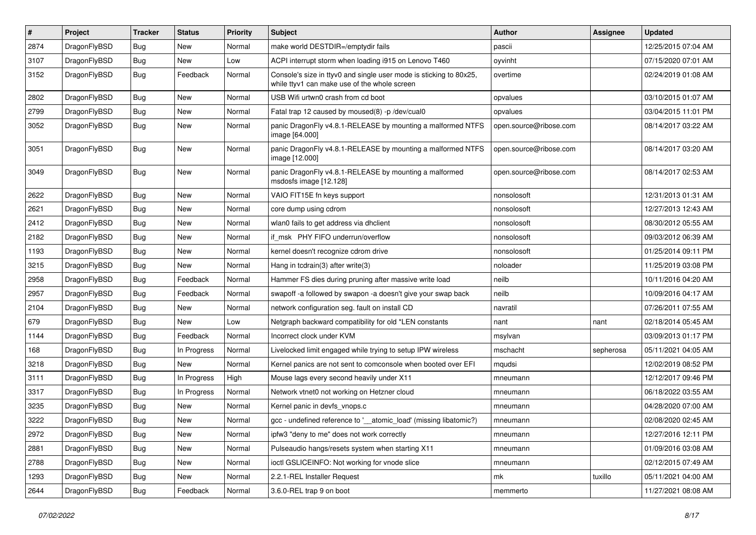| $\sharp$ | Project      | <b>Tracker</b> | <b>Status</b> | <b>Priority</b> | Subject                                                                                                            | <b>Author</b>          | <b>Assignee</b> | <b>Updated</b>      |
|----------|--------------|----------------|---------------|-----------------|--------------------------------------------------------------------------------------------------------------------|------------------------|-----------------|---------------------|
| 2874     | DragonFlyBSD | Bug            | <b>New</b>    | Normal          | make world DESTDIR=/emptydir fails                                                                                 | pascii                 |                 | 12/25/2015 07:04 AM |
| 3107     | DragonFlyBSD | <b>Bug</b>     | New           | Low             | ACPI interrupt storm when loading i915 on Lenovo T460                                                              | oyvinht                |                 | 07/15/2020 07:01 AM |
| 3152     | DragonFlyBSD | Bug            | Feedback      | Normal          | Console's size in ttyv0 and single user mode is sticking to 80x25,<br>while ttyv1 can make use of the whole screen | overtime               |                 | 02/24/2019 01:08 AM |
| 2802     | DragonFlyBSD | Bug            | <b>New</b>    | Normal          | USB Wifi urtwn0 crash from cd boot                                                                                 | opvalues               |                 | 03/10/2015 01:07 AM |
| 2799     | DragonFlyBSD | Bug            | New           | Normal          | Fatal trap 12 caused by moused(8) -p/dev/cual0                                                                     | opvalues               |                 | 03/04/2015 11:01 PM |
| 3052     | DragonFlyBSD | <b>Bug</b>     | New           | Normal          | panic DragonFly v4.8.1-RELEASE by mounting a malformed NTFS<br>image [64.000]                                      | open.source@ribose.com |                 | 08/14/2017 03:22 AM |
| 3051     | DragonFlyBSD | <b>Bug</b>     | New           | Normal          | panic DragonFly v4.8.1-RELEASE by mounting a malformed NTFS<br>image [12.000]                                      | open.source@ribose.com |                 | 08/14/2017 03:20 AM |
| 3049     | DragonFlyBSD | <b>Bug</b>     | New           | Normal          | panic DragonFly v4.8.1-RELEASE by mounting a malformed<br>msdosfs image [12.128]                                   | open.source@ribose.com |                 | 08/14/2017 02:53 AM |
| 2622     | DragonFlyBSD | Bug            | <b>New</b>    | Normal          | VAIO FIT15E fn keys support                                                                                        | nonsolosoft            |                 | 12/31/2013 01:31 AM |
| 2621     | DragonFlyBSD | <b>Bug</b>     | New           | Normal          | core dump using cdrom                                                                                              | nonsolosoft            |                 | 12/27/2013 12:43 AM |
| 2412     | DragonFlyBSD | <b>Bug</b>     | New           | Normal          | wlan0 fails to get address via dhclient                                                                            | nonsolosoft            |                 | 08/30/2012 05:55 AM |
| 2182     | DragonFlyBSD | <b>Bug</b>     | New           | Normal          | if msk PHY FIFO underrun/overflow                                                                                  | nonsolosoft            |                 | 09/03/2012 06:39 AM |
| 1193     | DragonFlyBSD | <b>Bug</b>     | New           | Normal          | kernel doesn't recognize cdrom drive                                                                               | nonsolosoft            |                 | 01/25/2014 09:11 PM |
| 3215     | DragonFlyBSD | <b>Bug</b>     | New           | Normal          | Hang in tcdrain(3) after write(3)                                                                                  | noloader               |                 | 11/25/2019 03:08 PM |
| 2958     | DragonFlyBSD | <b>Bug</b>     | Feedback      | Normal          | Hammer FS dies during pruning after massive write load                                                             | neilb                  |                 | 10/11/2016 04:20 AM |
| 2957     | DragonFlyBSD | <b>Bug</b>     | Feedback      | Normal          | swapoff -a followed by swapon -a doesn't give your swap back                                                       | neilb                  |                 | 10/09/2016 04:17 AM |
| 2104     | DragonFlyBSD | <b>Bug</b>     | New           | Normal          | network configuration seg. fault on install CD                                                                     | navratil               |                 | 07/26/2011 07:55 AM |
| 679      | DragonFlyBSD | <b>Bug</b>     | New           | Low             | Netgraph backward compatibility for old *LEN constants                                                             | nant                   | nant            | 02/18/2014 05:45 AM |
| 1144     | DragonFlyBSD | <b>Bug</b>     | Feedback      | Normal          | Incorrect clock under KVM                                                                                          | msylvan                |                 | 03/09/2013 01:17 PM |
| 168      | DragonFlyBSD | <b>Bug</b>     | In Progress   | Normal          | Livelocked limit engaged while trying to setup IPW wireless                                                        | mschacht               | sepherosa       | 05/11/2021 04:05 AM |
| 3218     | DragonFlyBSD | <b>Bug</b>     | New           | Normal          | Kernel panics are not sent to comconsole when booted over EFI                                                      | mqudsi                 |                 | 12/02/2019 08:52 PM |
| 3111     | DragonFlyBSD | <b>Bug</b>     | In Progress   | High            | Mouse lags every second heavily under X11                                                                          | mneumann               |                 | 12/12/2017 09:46 PM |
| 3317     | DragonFlyBSD | <b>Bug</b>     | In Progress   | Normal          | Network vtnet0 not working on Hetzner cloud                                                                        | mneumann               |                 | 06/18/2022 03:55 AM |
| 3235     | DragonFlyBSD | <b>Bug</b>     | New           | Normal          | Kernel panic in devfs vnops.c                                                                                      | mneumann               |                 | 04/28/2020 07:00 AM |
| 3222     | DragonFlyBSD | <b>Bug</b>     | New           | Normal          | gcc - undefined reference to ' atomic load' (missing libatomic?)                                                   | mneumann               |                 | 02/08/2020 02:45 AM |
| 2972     | DragonFlyBSD | <b>Bug</b>     | New           | Normal          | ipfw3 "deny to me" does not work correctly                                                                         | mneumann               |                 | 12/27/2016 12:11 PM |
| 2881     | DragonFlyBSD | <b>Bug</b>     | <b>New</b>    | Normal          | Pulseaudio hangs/resets system when starting X11                                                                   | mneumann               |                 | 01/09/2016 03:08 AM |
| 2788     | DragonFlyBSD | <b>Bug</b>     | New           | Normal          | ioctl GSLICEINFO: Not working for vnode slice                                                                      | mneumann               |                 | 02/12/2015 07:49 AM |
| 1293     | DragonFlyBSD | <b>Bug</b>     | New           | Normal          | 2.2.1-REL Installer Request                                                                                        | mk                     | tuxillo         | 05/11/2021 04:00 AM |
| 2644     | DragonFlyBSD | <b>Bug</b>     | Feedback      | Normal          | 3.6.0-REL trap 9 on boot                                                                                           | memmerto               |                 | 11/27/2021 08:08 AM |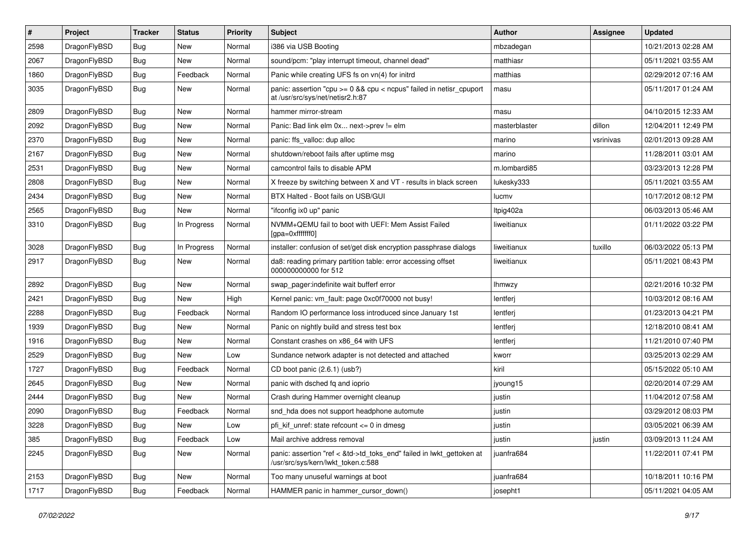| $\sharp$ | Project      | <b>Tracker</b> | <b>Status</b> | <b>Priority</b> | Subject                                                                                                    | <b>Author</b> | Assignee  | <b>Updated</b>      |
|----------|--------------|----------------|---------------|-----------------|------------------------------------------------------------------------------------------------------------|---------------|-----------|---------------------|
| 2598     | DragonFlyBSD | <b>Bug</b>     | <b>New</b>    | Normal          | i386 via USB Booting                                                                                       | mbzadegan     |           | 10/21/2013 02:28 AM |
| 2067     | DragonFlyBSD | <b>Bug</b>     | <b>New</b>    | Normal          | sound/pcm: "play interrupt timeout, channel dead"                                                          | matthiasr     |           | 05/11/2021 03:55 AM |
| 1860     | DragonFlyBSD | <b>Bug</b>     | Feedback      | Normal          | Panic while creating UFS fs on vn(4) for initrd                                                            | matthias      |           | 02/29/2012 07:16 AM |
| 3035     | DragonFlyBSD | <b>Bug</b>     | New           | Normal          | panic: assertion "cpu >= 0 && cpu < ncpus" failed in netisr_cpuport<br>at /usr/src/sys/net/netisr2.h:87    | masu          |           | 05/11/2017 01:24 AM |
| 2809     | DragonFlyBSD | <b>Bug</b>     | New           | Normal          | hammer mirror-stream                                                                                       | masu          |           | 04/10/2015 12:33 AM |
| 2092     | DragonFlyBSD | <b>Bug</b>     | <b>New</b>    | Normal          | Panic: Bad link elm 0x next->prev != elm                                                                   | masterblaster | dillon    | 12/04/2011 12:49 PM |
| 2370     | DragonFlyBSD | <b>Bug</b>     | <b>New</b>    | Normal          | panic: ffs_valloc: dup alloc                                                                               | marino        | vsrinivas | 02/01/2013 09:28 AM |
| 2167     | DragonFlyBSD | <b>Bug</b>     | New           | Normal          | shutdown/reboot fails after uptime msg                                                                     | marino        |           | 11/28/2011 03:01 AM |
| 2531     | DragonFlyBSD | <b>Bug</b>     | <b>New</b>    | Normal          | camcontrol fails to disable APM                                                                            | m.lombardi85  |           | 03/23/2013 12:28 PM |
| 2808     | DragonFlyBSD | <b>Bug</b>     | New           | Normal          | X freeze by switching between X and VT - results in black screen                                           | lukesky333    |           | 05/11/2021 03:55 AM |
| 2434     | DragonFlyBSD | <b>Bug</b>     | New           | Normal          | BTX Halted - Boot fails on USB/GUI                                                                         | lucmv         |           | 10/17/2012 08:12 PM |
| 2565     | DragonFlyBSD | Bug            | New           | Normal          | "ifconfig ix0 up" panic                                                                                    | Itpig402a     |           | 06/03/2013 05:46 AM |
| 3310     | DragonFlyBSD | <b>Bug</b>     | In Progress   | Normal          | NVMM+QEMU fail to boot with UEFI: Mem Assist Failed<br>[gpa=0xfffffff0]                                    | liweitianux   |           | 01/11/2022 03:22 PM |
| 3028     | DragonFlyBSD | <b>Bug</b>     | In Progress   | Normal          | installer: confusion of set/get disk encryption passphrase dialogs                                         | liweitianux   | tuxillo   | 06/03/2022 05:13 PM |
| 2917     | DragonFlyBSD | <b>Bug</b>     | <b>New</b>    | Normal          | da8: reading primary partition table: error accessing offset<br>000000000000 for 512                       | liweitianux   |           | 05/11/2021 08:43 PM |
| 2892     | DragonFlyBSD | <b>Bug</b>     | New           | Normal          | swap_pager:indefinite wait bufferf error                                                                   | <b>Ihmwzy</b> |           | 02/21/2016 10:32 PM |
| 2421     | DragonFlyBSD | <b>Bug</b>     | New           | High            | Kernel panic: vm_fault: page 0xc0f70000 not busy!                                                          | lentferj      |           | 10/03/2012 08:16 AM |
| 2288     | DragonFlyBSD | Bug            | Feedback      | Normal          | Random IO performance loss introduced since January 1st                                                    | lentferj      |           | 01/23/2013 04:21 PM |
| 1939     | DragonFlyBSD | <b>Bug</b>     | New           | Normal          | Panic on nightly build and stress test box                                                                 | lentferj      |           | 12/18/2010 08:41 AM |
| 1916     | DragonFlyBSD | <b>Bug</b>     | New           | Normal          | Constant crashes on x86_64 with UFS                                                                        | lentferj      |           | 11/21/2010 07:40 PM |
| 2529     | DragonFlyBSD | <b>Bug</b>     | New           | Low             | Sundance network adapter is not detected and attached                                                      | kworr         |           | 03/25/2013 02:29 AM |
| 1727     | DragonFlyBSD | <b>Bug</b>     | Feedback      | Normal          | CD boot panic (2.6.1) (usb?)                                                                               | kiril         |           | 05/15/2022 05:10 AM |
| 2645     | DragonFlyBSD | <b>Bug</b>     | New           | Normal          | panic with dsched fq and ioprio                                                                            | jyoung15      |           | 02/20/2014 07:29 AM |
| 2444     | DragonFlyBSD | <b>Bug</b>     | <b>New</b>    | Normal          | Crash during Hammer overnight cleanup                                                                      | justin        |           | 11/04/2012 07:58 AM |
| 2090     | DragonFlyBSD | <b>Bug</b>     | Feedback      | Normal          | snd_hda does not support headphone automute                                                                | justin        |           | 03/29/2012 08:03 PM |
| 3228     | DragonFlyBSD | Bug            | New           | Low             | pfi_kif_unref: state refcount <= 0 in dmesg                                                                | justin        |           | 03/05/2021 06:39 AM |
| 385      | DragonFlyBSD | <b>Bug</b>     | Feedback      | Low             | Mail archive address removal                                                                               | justin        | justin    | 03/09/2013 11:24 AM |
| 2245     | DragonFlyBSD | <b>Bug</b>     | New           | Normal          | panic: assertion "ref < &td->td_toks_end" failed in lwkt_gettoken at<br>/usr/src/sys/kern/lwkt_token.c:588 | juanfra684    |           | 11/22/2011 07:41 PM |
| 2153     | DragonFlyBSD | <b>Bug</b>     | New           | Normal          | Too many unuseful warnings at boot                                                                         | juanfra684    |           | 10/18/2011 10:16 PM |
| 1717     | DragonFlyBSD | <b>Bug</b>     | Feedback      | Normal          | HAMMER panic in hammer_cursor_down()                                                                       | josepht1      |           | 05/11/2021 04:05 AM |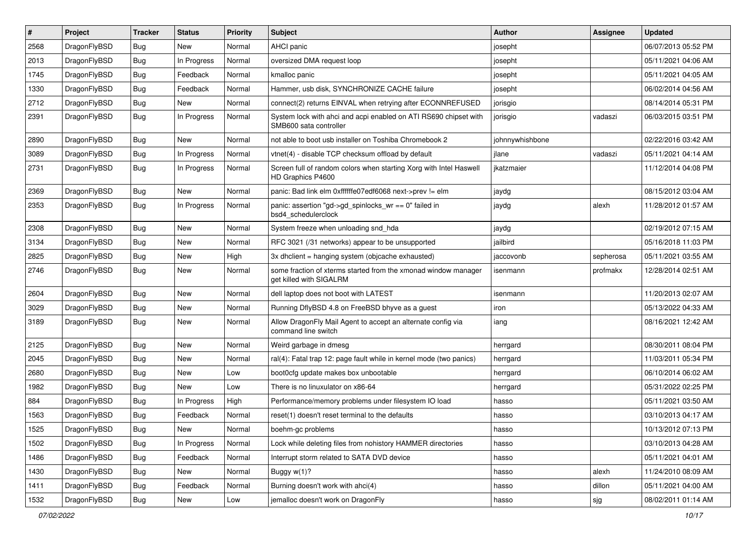| #    | Project      | <b>Tracker</b> | <b>Status</b> | <b>Priority</b> | Subject                                                                                    | <b>Author</b>   | Assignee  | <b>Updated</b>      |
|------|--------------|----------------|---------------|-----------------|--------------------------------------------------------------------------------------------|-----------------|-----------|---------------------|
| 2568 | DragonFlyBSD | Bug            | New           | Normal          | AHCI panic                                                                                 | josepht         |           | 06/07/2013 05:52 PM |
| 2013 | DragonFlyBSD | Bug            | In Progress   | Normal          | oversized DMA request loop                                                                 | josepht         |           | 05/11/2021 04:06 AM |
| 1745 | DragonFlyBSD | Bug            | Feedback      | Normal          | kmalloc panic                                                                              | josepht         |           | 05/11/2021 04:05 AM |
| 1330 | DragonFlyBSD | Bug            | Feedback      | Normal          | Hammer, usb disk, SYNCHRONIZE CACHE failure                                                | josepht         |           | 06/02/2014 04:56 AM |
| 2712 | DragonFlyBSD | Bug            | New           | Normal          | connect(2) returns EINVAL when retrying after ECONNREFUSED                                 | jorisgio        |           | 08/14/2014 05:31 PM |
| 2391 | DragonFlyBSD | Bug            | In Progress   | Normal          | System lock with ahci and acpi enabled on ATI RS690 chipset with<br>SMB600 sata controller | jorisgio        | vadaszi   | 06/03/2015 03:51 PM |
| 2890 | DragonFlyBSD | Bug            | <b>New</b>    | Normal          | not able to boot usb installer on Toshiba Chromebook 2                                     | johnnywhishbone |           | 02/22/2016 03:42 AM |
| 3089 | DragonFlyBSD | Bug            | In Progress   | Normal          | vtnet(4) - disable TCP checksum offload by default                                         | jlane           | vadaszi   | 05/11/2021 04:14 AM |
| 2731 | DragonFlyBSD | Bug            | In Progress   | Normal          | Screen full of random colors when starting Xorg with Intel Haswell<br>HD Graphics P4600    | ikatzmaier      |           | 11/12/2014 04:08 PM |
| 2369 | DragonFlyBSD | Bug            | <b>New</b>    | Normal          | panic: Bad link elm 0xffffffe07edf6068 next->prev != elm                                   | jaydg           |           | 08/15/2012 03:04 AM |
| 2353 | DragonFlyBSD | Bug            | In Progress   | Normal          | panic: assertion "gd->gd_spinlocks_wr == 0" failed in<br>bsd4_schedulerclock               | jaydg           | alexh     | 11/28/2012 01:57 AM |
| 2308 | DragonFlyBSD | Bug            | New           | Normal          | System freeze when unloading snd_hda                                                       | jaydg           |           | 02/19/2012 07:15 AM |
| 3134 | DragonFlyBSD | Bug            | New           | Normal          | RFC 3021 (/31 networks) appear to be unsupported                                           | jailbird        |           | 05/16/2018 11:03 PM |
| 2825 | DragonFlyBSD | Bug            | New           | High            | 3x dhclient = hanging system (objcache exhausted)                                          | jaccovonb       | sepherosa | 05/11/2021 03:55 AM |
| 2746 | DragonFlyBSD | Bug            | New           | Normal          | some fraction of xterms started from the xmonad window manager<br>get killed with SIGALRM  | isenmann        | profmakx  | 12/28/2014 02:51 AM |
| 2604 | DragonFlyBSD | Bug            | New           | Normal          | dell laptop does not boot with LATEST                                                      | isenmann        |           | 11/20/2013 02:07 AM |
| 3029 | DragonFlyBSD | Bug            | <b>New</b>    | Normal          | Running DflyBSD 4.8 on FreeBSD bhyve as a guest                                            | iron            |           | 05/13/2022 04:33 AM |
| 3189 | DragonFlyBSD | <b>Bug</b>     | New           | Normal          | Allow DragonFly Mail Agent to accept an alternate config via<br>command line switch        | iang            |           | 08/16/2021 12:42 AM |
| 2125 | DragonFlyBSD | <b>Bug</b>     | New           | Normal          | Weird garbage in dmesg                                                                     | herrgard        |           | 08/30/2011 08:04 PM |
| 2045 | DragonFlyBSD | <b>Bug</b>     | New           | Normal          | ral(4): Fatal trap 12: page fault while in kernel mode (two panics)                        | herrgard        |           | 11/03/2011 05:34 PM |
| 2680 | DragonFlyBSD | <b>Bug</b>     | New           | Low             | boot0cfg update makes box unbootable                                                       | herrgard        |           | 06/10/2014 06:02 AM |
| 1982 | DragonFlyBSD | <b>Bug</b>     | New           | Low             | There is no linuxulator on x86-64                                                          | herrgard        |           | 05/31/2022 02:25 PM |
| 884  | DragonFlyBSD | <b>Bug</b>     | In Progress   | High            | Performance/memory problems under filesystem IO load                                       | hasso           |           | 05/11/2021 03:50 AM |
| 1563 | DragonFlyBSD | <b>Bug</b>     | Feedback      | Normal          | reset(1) doesn't reset terminal to the defaults                                            | hasso           |           | 03/10/2013 04:17 AM |
| 1525 | DragonFlyBSD | <b>Bug</b>     | New           | Normal          | boehm-gc problems                                                                          | hasso           |           | 10/13/2012 07:13 PM |
| 1502 | DragonFlyBSD | <b>Bug</b>     | In Progress   | Normal          | Lock while deleting files from nohistory HAMMER directories                                | hasso           |           | 03/10/2013 04:28 AM |
| 1486 | DragonFlyBSD | <b>Bug</b>     | Feedback      | Normal          | Interrupt storm related to SATA DVD device                                                 | hasso           |           | 05/11/2021 04:01 AM |
| 1430 | DragonFlyBSD | <b>Bug</b>     | New           | Normal          | Buggy w(1)?                                                                                | hasso           | alexh     | 11/24/2010 08:09 AM |
| 1411 | DragonFlyBSD | <b>Bug</b>     | Feedback      | Normal          | Burning doesn't work with ahci(4)                                                          | hasso           | dillon    | 05/11/2021 04:00 AM |
| 1532 | DragonFlyBSD | <b>Bug</b>     | New           | Low             | jemalloc doesn't work on DragonFly                                                         | hasso           | sjg       | 08/02/2011 01:14 AM |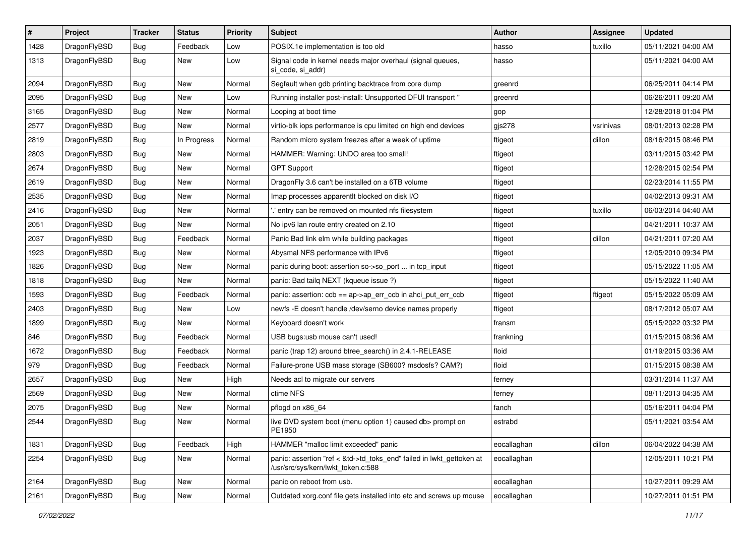| $\sharp$ | Project      | <b>Tracker</b> | <b>Status</b> | <b>Priority</b> | Subject                                                                                                    | <b>Author</b> | Assignee  | <b>Updated</b>      |
|----------|--------------|----------------|---------------|-----------------|------------------------------------------------------------------------------------------------------------|---------------|-----------|---------------------|
| 1428     | DragonFlyBSD | <b>Bug</b>     | Feedback      | Low             | POSIX.1e implementation is too old                                                                         | hasso         | tuxillo   | 05/11/2021 04:00 AM |
| 1313     | DragonFlyBSD | <b>Bug</b>     | New           | Low             | Signal code in kernel needs major overhaul (signal queues,<br>si code, si addr)                            | hasso         |           | 05/11/2021 04:00 AM |
| 2094     | DragonFlyBSD | <b>Bug</b>     | <b>New</b>    | Normal          | Segfault when gdb printing backtrace from core dump                                                        | greenrd       |           | 06/25/2011 04:14 PM |
| 2095     | DragonFlyBSD | <b>Bug</b>     | New           | Low             | Running installer post-install: Unsupported DFUI transport "                                               | greenrd       |           | 06/26/2011 09:20 AM |
| 3165     | DragonFlyBSD | <b>Bug</b>     | <b>New</b>    | Normal          | Looping at boot time                                                                                       | gop           |           | 12/28/2018 01:04 PM |
| 2577     | DragonFlyBSD | <b>Bug</b>     | <b>New</b>    | Normal          | virtio-blk iops performance is cpu limited on high end devices                                             | gjs278        | vsrinivas | 08/01/2013 02:28 PM |
| 2819     | DragonFlyBSD | <b>Bug</b>     | In Progress   | Normal          | Random micro system freezes after a week of uptime                                                         | ftigeot       | dillon    | 08/16/2015 08:46 PM |
| 2803     | DragonFlyBSD | <b>Bug</b>     | New           | Normal          | HAMMER: Warning: UNDO area too small!                                                                      | ftigeot       |           | 03/11/2015 03:42 PM |
| 2674     | DragonFlyBSD | Bug            | <b>New</b>    | Normal          | <b>GPT Support</b>                                                                                         | ftigeot       |           | 12/28/2015 02:54 PM |
| 2619     | DragonFlyBSD | <b>Bug</b>     | New           | Normal          | DragonFly 3.6 can't be installed on a 6TB volume                                                           | ftigeot       |           | 02/23/2014 11:55 PM |
| 2535     | DragonFlyBSD | <b>Bug</b>     | <b>New</b>    | Normal          | Imap processes apparentlt blocked on disk I/O                                                              | ftigeot       |           | 04/02/2013 09:31 AM |
| 2416     | DragonFlyBSD | <b>Bug</b>     | <b>New</b>    | Normal          | ".' entry can be removed on mounted nfs filesystem                                                         | ftigeot       | tuxillo   | 06/03/2014 04:40 AM |
| 2051     | DragonFlyBSD | <b>Bug</b>     | New           | Normal          | No ipv6 lan route entry created on 2.10                                                                    | ftigeot       |           | 04/21/2011 10:37 AM |
| 2037     | DragonFlyBSD | Bug            | Feedback      | Normal          | Panic Bad link elm while building packages                                                                 | ftigeot       | dillon    | 04/21/2011 07:20 AM |
| 1923     | DragonFlyBSD | <b>Bug</b>     | New           | Normal          | Abysmal NFS performance with IPv6                                                                          | ftigeot       |           | 12/05/2010 09:34 PM |
| 1826     | DragonFlyBSD | <b>Bug</b>     | <b>New</b>    | Normal          | panic during boot: assertion so->so_port  in tcp_input                                                     | ftigeot       |           | 05/15/2022 11:05 AM |
| 1818     | DragonFlyBSD | <b>Bug</b>     | New           | Normal          | panic: Bad tailq NEXT (kqueue issue ?)                                                                     | ftigeot       |           | 05/15/2022 11:40 AM |
| 1593     | DragonFlyBSD | <b>Bug</b>     | Feedback      | Normal          | panic: assertion: ccb == ap->ap_err_ccb in ahci_put_err_ccb                                                | ftigeot       | ftigeot   | 05/15/2022 05:09 AM |
| 2403     | DragonFlyBSD | <b>Bug</b>     | New           | Low             | newfs -E doesn't handle /dev/serno device names properly                                                   | ftigeot       |           | 08/17/2012 05:07 AM |
| 1899     | DragonFlyBSD | <b>Bug</b>     | <b>New</b>    | Normal          | Keyboard doesn't work                                                                                      | fransm        |           | 05/15/2022 03:32 PM |
| 846      | DragonFlyBSD | <b>Bug</b>     | Feedback      | Normal          | USB bugs:usb mouse can't used!                                                                             | frankning     |           | 01/15/2015 08:36 AM |
| 1672     | DragonFlyBSD | <b>Bug</b>     | Feedback      | Normal          | panic (trap 12) around btree_search() in 2.4.1-RELEASE                                                     | floid         |           | 01/19/2015 03:36 AM |
| 979      | DragonFlyBSD | <b>Bug</b>     | Feedback      | Normal          | Failure-prone USB mass storage (SB600? msdosfs? CAM?)                                                      | floid         |           | 01/15/2015 08:38 AM |
| 2657     | DragonFlyBSD | Bug            | New           | High            | Needs acl to migrate our servers                                                                           | ferney        |           | 03/31/2014 11:37 AM |
| 2569     | DragonFlyBSD | <b>Bug</b>     | <b>New</b>    | Normal          | ctime NFS                                                                                                  | ferney        |           | 08/11/2013 04:35 AM |
| 2075     | DragonFlyBSD | <b>Bug</b>     | <b>New</b>    | Normal          | pflogd on x86_64                                                                                           | fanch         |           | 05/16/2011 04:04 PM |
| 2544     | DragonFlyBSD | <b>Bug</b>     | New           | Normal          | live DVD system boot (menu option 1) caused db> prompt on<br>PE1950                                        | estrabd       |           | 05/11/2021 03:54 AM |
| 1831     | DragonFlyBSD | Bug            | Feedback      | High            | HAMMER "malloc limit exceeded" panic                                                                       | eocallaghan   | dillon    | 06/04/2022 04:38 AM |
| 2254     | DragonFlyBSD | Bug            | New           | Normal          | panic: assertion "ref < &td->td_toks_end" failed in lwkt_gettoken at<br>/usr/src/sys/kern/lwkt_token.c:588 | eocallaghan   |           | 12/05/2011 10:21 PM |
| 2164     | DragonFlyBSD | <b>Bug</b>     | New           | Normal          | panic on reboot from usb.                                                                                  | eocallaghan   |           | 10/27/2011 09:29 AM |
| 2161     | DragonFlyBSD | <b>Bug</b>     | New           | Normal          | Outdated xorg.conf file gets installed into etc and screws up mouse                                        | eocallaghan   |           | 10/27/2011 01:51 PM |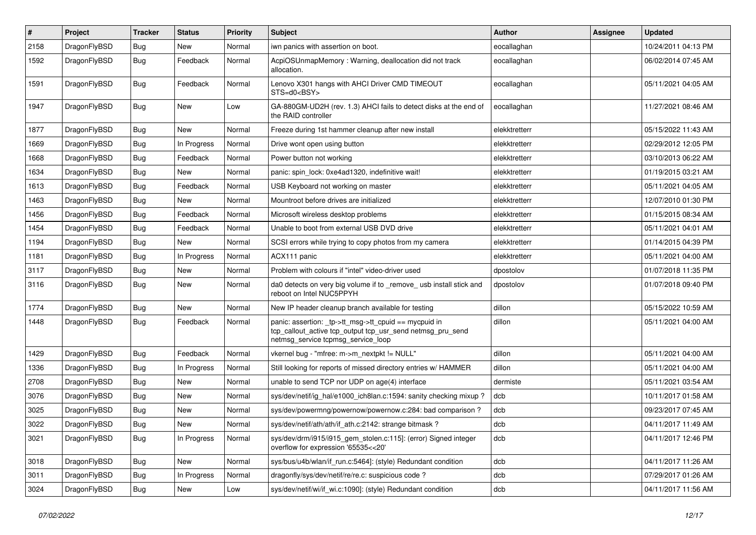| $\pmb{\#}$ | Project      | <b>Tracker</b> | <b>Status</b> | <b>Priority</b> | Subject                                                                                                                                                   | <b>Author</b> | Assignee | <b>Updated</b>      |
|------------|--------------|----------------|---------------|-----------------|-----------------------------------------------------------------------------------------------------------------------------------------------------------|---------------|----------|---------------------|
| 2158       | DragonFlyBSD | Bug            | New           | Normal          | iwn panics with assertion on boot.                                                                                                                        | eocallaghan   |          | 10/24/2011 04:13 PM |
| 1592       | DragonFlyBSD | Bug            | Feedback      | Normal          | AcpiOSUnmapMemory: Warning, deallocation did not track<br>allocation.                                                                                     | eocallaghan   |          | 06/02/2014 07:45 AM |
| 1591       | DragonFlyBSD | Bug            | Feedback      | Normal          | Lenovo X301 hangs with AHCI Driver CMD TIMEOUT<br>STS=d0 <bsy></bsy>                                                                                      | eocallaghan   |          | 05/11/2021 04:05 AM |
| 1947       | DragonFlyBSD | Bug            | New           | Low             | GA-880GM-UD2H (rev. 1.3) AHCI fails to detect disks at the end of<br>the RAID controller                                                                  | eocallaghan   |          | 11/27/2021 08:46 AM |
| 1877       | DragonFlyBSD | <b>Bug</b>     | New           | Normal          | Freeze during 1st hammer cleanup after new install                                                                                                        | elekktretterr |          | 05/15/2022 11:43 AM |
| 1669       | DragonFlyBSD | <b>Bug</b>     | In Progress   | Normal          | Drive wont open using button                                                                                                                              | elekktretterr |          | 02/29/2012 12:05 PM |
| 1668       | DragonFlyBSD | Bug            | Feedback      | Normal          | Power button not working                                                                                                                                  | elekktretterr |          | 03/10/2013 06:22 AM |
| 1634       | DragonFlyBSD | <b>Bug</b>     | New           | Normal          | panic: spin lock: 0xe4ad1320, indefinitive wait!                                                                                                          | elekktretterr |          | 01/19/2015 03:21 AM |
| 1613       | DragonFlyBSD | Bug            | Feedback      | Normal          | USB Keyboard not working on master                                                                                                                        | elekktretterr |          | 05/11/2021 04:05 AM |
| 1463       | DragonFlyBSD | <b>Bug</b>     | <b>New</b>    | Normal          | Mountroot before drives are initialized                                                                                                                   | elekktretterr |          | 12/07/2010 01:30 PM |
| 1456       | DragonFlyBSD | <b>Bug</b>     | Feedback      | Normal          | Microsoft wireless desktop problems                                                                                                                       | elekktretterr |          | 01/15/2015 08:34 AM |
| 1454       | DragonFlyBSD | Bug            | Feedback      | Normal          | Unable to boot from external USB DVD drive                                                                                                                | elekktretterr |          | 05/11/2021 04:01 AM |
| 1194       | DragonFlyBSD | <b>Bug</b>     | New           | Normal          | SCSI errors while trying to copy photos from my camera                                                                                                    | elekktretterr |          | 01/14/2015 04:39 PM |
| 1181       | DragonFlyBSD | Bug            | In Progress   | Normal          | ACX111 panic                                                                                                                                              | elekktretterr |          | 05/11/2021 04:00 AM |
| 3117       | DragonFlyBSD | Bug            | <b>New</b>    | Normal          | Problem with colours if "intel" video-driver used                                                                                                         | dpostolov     |          | 01/07/2018 11:35 PM |
| 3116       | DragonFlyBSD | Bug            | New           | Normal          | da0 detects on very big volume if to _remove_ usb install stick and<br>reboot on Intel NUC5PPYH                                                           | dpostolov     |          | 01/07/2018 09:40 PM |
| 1774       | DragonFlyBSD | Bug            | New           | Normal          | New IP header cleanup branch available for testing                                                                                                        | dillon        |          | 05/15/2022 10:59 AM |
| 1448       | DragonFlyBSD | Bug            | Feedback      | Normal          | panic: assertion: _tp->tt_msg->tt_cpuid == mycpuid in<br>tcp_callout_active tcp_output tcp_usr_send netmsg_pru_send<br>netmsg service tcpmsg service loop | dillon        |          | 05/11/2021 04:00 AM |
| 1429       | DragonFlyBSD | Bug            | Feedback      | Normal          | vkernel bug - "mfree: m->m_nextpkt != NULL"                                                                                                               | dillon        |          | 05/11/2021 04:00 AM |
| 1336       | DragonFlyBSD | Bug            | In Progress   | Normal          | Still looking for reports of missed directory entries w/ HAMMER                                                                                           | dillon        |          | 05/11/2021 04:00 AM |
| 2708       | DragonFlyBSD | <b>Bug</b>     | New           | Normal          | unable to send TCP nor UDP on age(4) interface                                                                                                            | dermiste      |          | 05/11/2021 03:54 AM |
| 3076       | DragonFlyBSD | Bug            | <b>New</b>    | Normal          | sys/dev/netif/ig_hal/e1000_ich8lan.c:1594: sanity checking mixup ?                                                                                        | dcb           |          | 10/11/2017 01:58 AM |
| 3025       | DragonFlyBSD | <b>Bug</b>     | New           | Normal          | sys/dev/powermng/powernow/powernow.c:284: bad comparison?                                                                                                 | dcb           |          | 09/23/2017 07:45 AM |
| 3022       | DragonFlyBSD | Bug            | New           | Normal          | sys/dev/netif/ath/ath/if ath.c:2142: strange bitmask?                                                                                                     | dcb           |          | 04/11/2017 11:49 AM |
| 3021       | DragonFlyBSD | Bug            | In Progress   | Normal          | sys/dev/drm/i915/i915_gem_stolen.c:115]: (error) Signed integer<br>overflow for expression '65535<<20'                                                    | dcb           |          | 04/11/2017 12:46 PM |
| 3018       | DragonFlyBSD | Bug            | New           | Normal          | sys/bus/u4b/wlan/if_run.c:5464]: (style) Redundant condition                                                                                              | dcb           |          | 04/11/2017 11:26 AM |
| 3011       | DragonFlyBSD | Bug            | In Progress   | Normal          | dragonfly/sys/dev/netif/re/re.c: suspicious code?                                                                                                         | dcb           |          | 07/29/2017 01:26 AM |
| 3024       | DragonFlyBSD | <b>Bug</b>     | New           | Low             | sys/dev/netif/wi/if_wi.c:1090]: (style) Redundant condition                                                                                               | dcb           |          | 04/11/2017 11:56 AM |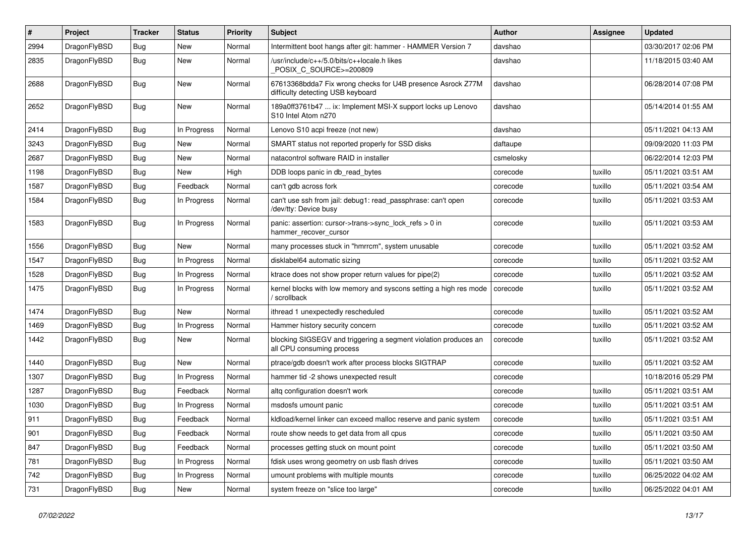| #    | Project      | <b>Tracker</b> | <b>Status</b> | <b>Priority</b> | Subject                                                                                          | <b>Author</b> | <b>Assignee</b> | Updated             |
|------|--------------|----------------|---------------|-----------------|--------------------------------------------------------------------------------------------------|---------------|-----------------|---------------------|
| 2994 | DragonFlyBSD | <b>Bug</b>     | <b>New</b>    | Normal          | Intermittent boot hangs after git: hammer - HAMMER Version 7                                     | davshao       |                 | 03/30/2017 02:06 PM |
| 2835 | DragonFlyBSD | <b>Bug</b>     | New           | Normal          | /usr/include/c++/5.0/bits/c++locale.h likes<br>POSIX_C_SOURCE>=200809                            | davshao       |                 | 11/18/2015 03:40 AM |
| 2688 | DragonFlyBSD | Bug            | New           | Normal          | 67613368bdda7 Fix wrong checks for U4B presence Asrock Z77M<br>difficulty detecting USB keyboard | davshao       |                 | 06/28/2014 07:08 PM |
| 2652 | DragonFlyBSD | Bug            | New           | Normal          | 189a0ff3761b47  ix: Implement MSI-X support locks up Lenovo<br>S10 Intel Atom n270               | davshao       |                 | 05/14/2014 01:55 AM |
| 2414 | DragonFlyBSD | Bug            | In Progress   | Normal          | Lenovo S10 acpi freeze (not new)                                                                 | davshao       |                 | 05/11/2021 04:13 AM |
| 3243 | DragonFlyBSD | <b>Bug</b>     | New           | Normal          | SMART status not reported properly for SSD disks                                                 | daftaupe      |                 | 09/09/2020 11:03 PM |
| 2687 | DragonFlyBSD | Bug            | New           | Normal          | natacontrol software RAID in installer                                                           | csmelosky     |                 | 06/22/2014 12:03 PM |
| 1198 | DragonFlyBSD | <b>Bug</b>     | New           | High            | DDB loops panic in db read bytes                                                                 | corecode      | tuxillo         | 05/11/2021 03:51 AM |
| 1587 | DragonFlyBSD | <b>Bug</b>     | Feedback      | Normal          | can't gdb across fork                                                                            | corecode      | tuxillo         | 05/11/2021 03:54 AM |
| 1584 | DragonFlyBSD | Bug            | In Progress   | Normal          | can't use ssh from jail: debug1: read passphrase: can't open<br>/dev/tty: Device busy            | corecode      | tuxillo         | 05/11/2021 03:53 AM |
| 1583 | DragonFlyBSD | Bug            | In Progress   | Normal          | panic: assertion: cursor->trans->sync_lock_refs > 0 in<br>hammer recover cursor                  | corecode      | tuxillo         | 05/11/2021 03:53 AM |
| 1556 | DragonFlyBSD | Bug            | New           | Normal          | many processes stuck in "hmrrcm", system unusable                                                | corecode      | tuxillo         | 05/11/2021 03:52 AM |
| 1547 | DragonFlyBSD | Bug            | In Progress   | Normal          | disklabel64 automatic sizing                                                                     | corecode      | tuxillo         | 05/11/2021 03:52 AM |
| 1528 | DragonFlyBSD | <b>Bug</b>     | In Progress   | Normal          | ktrace does not show proper return values for pipe(2)                                            | corecode      | tuxillo         | 05/11/2021 03:52 AM |
| 1475 | DragonFlyBSD | <b>Bug</b>     | In Progress   | Normal          | kernel blocks with low memory and syscons setting a high res mode<br>/ scrollback                | corecode      | tuxillo         | 05/11/2021 03:52 AM |
| 1474 | DragonFlyBSD | Bug            | New           | Normal          | ithread 1 unexpectedly rescheduled                                                               | corecode      | tuxillo         | 05/11/2021 03:52 AM |
| 1469 | DragonFlyBSD | <b>Bug</b>     | In Progress   | Normal          | Hammer history security concern                                                                  | corecode      | tuxillo         | 05/11/2021 03:52 AM |
| 1442 | DragonFlyBSD | Bug            | <b>New</b>    | Normal          | blocking SIGSEGV and triggering a segment violation produces an<br>all CPU consuming process     | corecode      | tuxillo         | 05/11/2021 03:52 AM |
| 1440 | DragonFlyBSD | Bug            | New           | Normal          | ptrace/gdb doesn't work after process blocks SIGTRAP                                             | corecode      | tuxillo         | 05/11/2021 03:52 AM |
| 1307 | DragonFlyBSD | Bug            | In Progress   | Normal          | hammer tid -2 shows unexpected result                                                            | corecode      |                 | 10/18/2016 05:29 PM |
| 1287 | DragonFlyBSD | Bug            | Feedback      | Normal          | altq configuration doesn't work                                                                  | corecode      | tuxillo         | 05/11/2021 03:51 AM |
| 1030 | DragonFlyBSD | Bug            | In Progress   | Normal          | msdosfs umount panic                                                                             | corecode      | tuxillo         | 05/11/2021 03:51 AM |
| 911  | DragonFlyBSD | Bug            | Feedback      | Normal          | kldload/kernel linker can exceed malloc reserve and panic system                                 | corecode      | tuxillo         | 05/11/2021 03:51 AM |
| 901  | DragonFlyBSD | <b>Bug</b>     | Feedback      | Normal          | route show needs to get data from all cpus                                                       | corecode      | tuxillo         | 05/11/2021 03:50 AM |
| 847  | DragonFlyBSD | <b>Bug</b>     | Feedback      | Normal          | processes getting stuck on mount point                                                           | corecode      | tuxillo         | 05/11/2021 03:50 AM |
| 781  | DragonFlyBSD | <b>Bug</b>     | In Progress   | Normal          | fdisk uses wrong geometry on usb flash drives                                                    | corecode      | tuxillo         | 05/11/2021 03:50 AM |
| 742  | DragonFlyBSD | <b>Bug</b>     | In Progress   | Normal          | umount problems with multiple mounts                                                             | corecode      | tuxillo         | 06/25/2022 04:02 AM |
| 731  | DragonFlyBSD | <b>Bug</b>     | New           | Normal          | system freeze on "slice too large"                                                               | corecode      | tuxillo         | 06/25/2022 04:01 AM |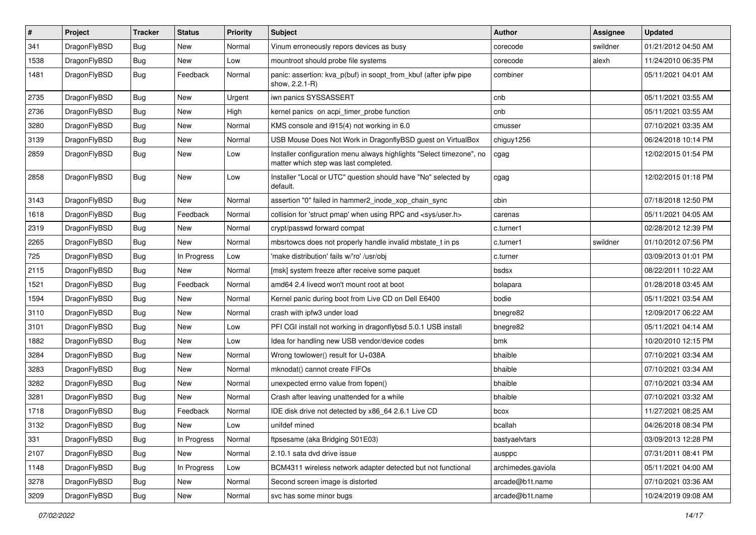| $\sharp$ | Project      | <b>Tracker</b> | <b>Status</b> | <b>Priority</b> | Subject                                                                                                       | <b>Author</b>      | Assignee | <b>Updated</b>      |
|----------|--------------|----------------|---------------|-----------------|---------------------------------------------------------------------------------------------------------------|--------------------|----------|---------------------|
| 341      | DragonFlyBSD | Bug            | New           | Normal          | Vinum erroneously repors devices as busy                                                                      | corecode           | swildner | 01/21/2012 04:50 AM |
| 1538     | DragonFlyBSD | Bug            | New           | Low             | mountroot should probe file systems                                                                           | corecode           | alexh    | 11/24/2010 06:35 PM |
| 1481     | DragonFlyBSD | <b>Bug</b>     | Feedback      | Normal          | panic: assertion: kva_p(buf) in soopt_from_kbuf (after ipfw pipe<br>show, 2.2.1-R)                            | combiner           |          | 05/11/2021 04:01 AM |
| 2735     | DragonFlyBSD | Bug            | <b>New</b>    | Urgent          | iwn panics SYSSASSERT                                                                                         | cnb                |          | 05/11/2021 03:55 AM |
| 2736     | DragonFlyBSD | Bug            | New           | High            | kernel panics on acpi_timer_probe function                                                                    | cnb                |          | 05/11/2021 03:55 AM |
| 3280     | DragonFlyBSD | Bug            | New           | Normal          | KMS console and i915(4) not working in 6.0                                                                    | cmusser            |          | 07/10/2021 03:35 AM |
| 3139     | DragonFlyBSD | <b>Bug</b>     | New           | Normal          | USB Mouse Does Not Work in DragonflyBSD guest on VirtualBox                                                   | chiguy1256         |          | 06/24/2018 10:14 PM |
| 2859     | DragonFlyBSD | <b>Bug</b>     | New           | Low             | Installer configuration menu always highlights "Select timezone", no<br>matter which step was last completed. | cgag               |          | 12/02/2015 01:54 PM |
| 2858     | DragonFlyBSD | Bug            | <b>New</b>    | Low             | Installer "Local or UTC" question should have "No" selected by<br>default.                                    | cgag               |          | 12/02/2015 01:18 PM |
| 3143     | DragonFlyBSD | Bug            | <b>New</b>    | Normal          | assertion "0" failed in hammer2_inode_xop_chain_sync                                                          | cbin               |          | 07/18/2018 12:50 PM |
| 1618     | DragonFlyBSD | <b>Bug</b>     | Feedback      | Normal          | collision for 'struct pmap' when using RPC and <sys user.h=""></sys>                                          | carenas            |          | 05/11/2021 04:05 AM |
| 2319     | DragonFlyBSD | <b>Bug</b>     | New           | Normal          | crypt/passwd forward compat                                                                                   | c.turner1          |          | 02/28/2012 12:39 PM |
| 2265     | DragonFlyBSD | <b>Bug</b>     | New           | Normal          | mbsrtowcs does not properly handle invalid mbstate t in ps                                                    | c.turner1          | swildner | 01/10/2012 07:56 PM |
| 725      | DragonFlyBSD | <b>Bug</b>     | In Progress   | Low             | 'make distribution' fails w/'ro' /usr/obj                                                                     | c.turner           |          | 03/09/2013 01:01 PM |
| 2115     | DragonFlyBSD | Bug            | New           | Normal          | [msk] system freeze after receive some paquet                                                                 | bsdsx              |          | 08/22/2011 10:22 AM |
| 1521     | DragonFlyBSD | <b>Bug</b>     | Feedback      | Normal          | amd64 2.4 livecd won't mount root at boot                                                                     | bolapara           |          | 01/28/2018 03:45 AM |
| 1594     | DragonFlyBSD | <b>Bug</b>     | <b>New</b>    | Normal          | Kernel panic during boot from Live CD on Dell E6400                                                           | bodie              |          | 05/11/2021 03:54 AM |
| 3110     | DragonFlyBSD | <b>Bug</b>     | New           | Normal          | crash with ipfw3 under load                                                                                   | bnegre82           |          | 12/09/2017 06:22 AM |
| 3101     | DragonFlyBSD | <b>Bug</b>     | <b>New</b>    | Low             | PFI CGI install not working in dragonflybsd 5.0.1 USB install                                                 | bnegre82           |          | 05/11/2021 04:14 AM |
| 1882     | DragonFlyBSD | Bug            | <b>New</b>    | Low             | Idea for handling new USB vendor/device codes                                                                 | bmk                |          | 10/20/2010 12:15 PM |
| 3284     | DragonFlyBSD | Bug            | <b>New</b>    | Normal          | Wrong towlower() result for U+038A                                                                            | bhaible            |          | 07/10/2021 03:34 AM |
| 3283     | DragonFlyBSD | <b>Bug</b>     | New           | Normal          | mknodat() cannot create FIFOs                                                                                 | bhaible            |          | 07/10/2021 03:34 AM |
| 3282     | DragonFlyBSD | Bug            | <b>New</b>    | Normal          | unexpected errno value from fopen()                                                                           | bhaible            |          | 07/10/2021 03:34 AM |
| 3281     | DragonFlyBSD | <b>Bug</b>     | New           | Normal          | Crash after leaving unattended for a while                                                                    | bhaible            |          | 07/10/2021 03:32 AM |
| 1718     | DragonFlyBSD | <b>Bug</b>     | Feedback      | Normal          | IDE disk drive not detected by x86_64 2.6.1 Live CD                                                           | bcox               |          | 11/27/2021 08:25 AM |
| 3132     | DragonFlyBSD | Bug            | <b>New</b>    | Low             | unifdef mined                                                                                                 | bcallah            |          | 04/26/2018 08:34 PM |
| 331      | DragonFlyBSD | <b>Bug</b>     | In Progress   | Normal          | ftpsesame (aka Bridging S01E03)                                                                               | bastyaelvtars      |          | 03/09/2013 12:28 PM |
| 2107     | DragonFlyBSD | <b>Bug</b>     | New           | Normal          | 2.10.1 sata dvd drive issue                                                                                   | ausppc             |          | 07/31/2011 08:41 PM |
| 1148     | DragonFlyBSD | Bug            | In Progress   | Low             | BCM4311 wireless network adapter detected but not functional                                                  | archimedes.gaviola |          | 05/11/2021 04:00 AM |
| 3278     | DragonFlyBSD | <b>Bug</b>     | New           | Normal          | Second screen image is distorted                                                                              | arcade@b1t.name    |          | 07/10/2021 03:36 AM |
| 3209     | DragonFlyBSD | <b>Bug</b>     | New           | Normal          | svc has some minor bugs                                                                                       | arcade@b1t.name    |          | 10/24/2019 09:08 AM |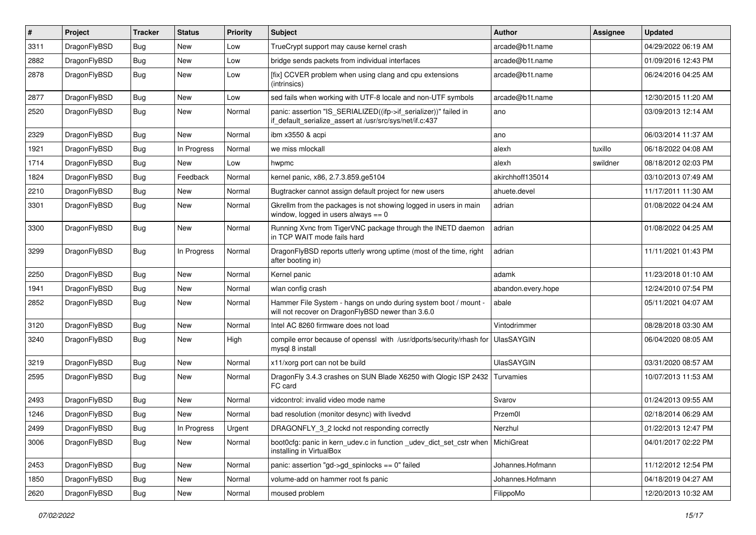| #    | Project      | <b>Tracker</b> | <b>Status</b> | <b>Priority</b> | Subject                                                                                                                      | <b>Author</b>      | <b>Assignee</b> | <b>Updated</b>      |
|------|--------------|----------------|---------------|-----------------|------------------------------------------------------------------------------------------------------------------------------|--------------------|-----------------|---------------------|
| 3311 | DragonFlyBSD | <b>Bug</b>     | <b>New</b>    | Low             | TrueCrypt support may cause kernel crash                                                                                     | arcade@b1t.name    |                 | 04/29/2022 06:19 AM |
| 2882 | DragonFlyBSD | <b>Bug</b>     | <b>New</b>    | Low             | bridge sends packets from individual interfaces                                                                              | arcade@b1t.name    |                 | 01/09/2016 12:43 PM |
| 2878 | DragonFlyBSD | <b>Bug</b>     | New           | Low             | [fix] CCVER problem when using clang and cpu extensions<br>(intrinsics)                                                      | arcade@b1t.name    |                 | 06/24/2016 04:25 AM |
| 2877 | DragonFlyBSD | <b>Bug</b>     | New           | Low             | sed fails when working with UTF-8 locale and non-UTF symbols                                                                 | arcade@b1t.name    |                 | 12/30/2015 11:20 AM |
| 2520 | DragonFlyBSD | <b>Bug</b>     | New           | Normal          | panic: assertion "IS_SERIALIZED((ifp->if_serializer))" failed in<br>if_default_serialize_assert at /usr/src/sys/net/if.c:437 | ano                |                 | 03/09/2013 12:14 AM |
| 2329 | DragonFlyBSD | <b>Bug</b>     | <b>New</b>    | Normal          | ibm x3550 & acpi                                                                                                             | ano                |                 | 06/03/2014 11:37 AM |
| 1921 | DragonFlyBSD | <b>Bug</b>     | In Progress   | Normal          | we miss mlockall                                                                                                             | alexh              | tuxillo         | 06/18/2022 04:08 AM |
| 1714 | DragonFlyBSD | <b>Bug</b>     | New           | Low             | hwpmc                                                                                                                        | alexh              | swildner        | 08/18/2012 02:03 PM |
| 1824 | DragonFlyBSD | <b>Bug</b>     | Feedback      | Normal          | kernel panic, x86, 2.7.3.859.ge5104                                                                                          | akirchhoff135014   |                 | 03/10/2013 07:49 AM |
| 2210 | DragonFlyBSD | <b>Bug</b>     | New           | Normal          | Bugtracker cannot assign default project for new users                                                                       | ahuete.devel       |                 | 11/17/2011 11:30 AM |
| 3301 | DragonFlyBSD | <b>Bug</b>     | New           | Normal          | Gkrellm from the packages is not showing logged in users in main<br>window, logged in users always $== 0$                    | adrian             |                 | 01/08/2022 04:24 AM |
| 3300 | DragonFlyBSD | <b>Bug</b>     | New           | Normal          | Running Xvnc from TigerVNC package through the INETD daemon<br>in TCP WAIT mode fails hard                                   | adrian             |                 | 01/08/2022 04:25 AM |
| 3299 | DragonFlyBSD | <b>Bug</b>     | In Progress   | Normal          | DragonFlyBSD reports utterly wrong uptime (most of the time, right<br>after booting in)                                      | adrian             |                 | 11/11/2021 01:43 PM |
| 2250 | DragonFlyBSD | <b>Bug</b>     | <b>New</b>    | Normal          | Kernel panic                                                                                                                 | adamk              |                 | 11/23/2018 01:10 AM |
| 1941 | DragonFlyBSD | <b>Bug</b>     | <b>New</b>    | Normal          | wlan config crash                                                                                                            | abandon.every.hope |                 | 12/24/2010 07:54 PM |
| 2852 | DragonFlyBSD | Bug            | New           | Normal          | Hammer File System - hangs on undo during system boot / mount -<br>will not recover on DragonFlyBSD newer than 3.6.0         | abale              |                 | 05/11/2021 04:07 AM |
| 3120 | DragonFlyBSD | <b>Bug</b>     | <b>New</b>    | Normal          | Intel AC 8260 firmware does not load                                                                                         | Vintodrimmer       |                 | 08/28/2018 03:30 AM |
| 3240 | DragonFlyBSD | <b>Bug</b>     | <b>New</b>    | High            | compile error because of openssl with /usr/dports/security/rhash for<br>mysql 8 install                                      | <b>UlasSAYGIN</b>  |                 | 06/04/2020 08:05 AM |
| 3219 | DragonFlyBSD | Bug            | New           | Normal          | x11/xorg port can not be build                                                                                               | <b>UlasSAYGIN</b>  |                 | 03/31/2020 08:57 AM |
| 2595 | DragonFlyBSD | Bug            | New           | Normal          | DragonFly 3.4.3 crashes on SUN Blade X6250 with Qlogic ISP 2432<br>FC card                                                   | Turvamies          |                 | 10/07/2013 11:53 AM |
| 2493 | DragonFlyBSD | Bug            | New           | Normal          | vidcontrol: invalid video mode name                                                                                          | Svarov             |                 | 01/24/2013 09:55 AM |
| 1246 | DragonFlyBSD | Bug            | New           | Normal          | bad resolution (monitor desync) with livedvd                                                                                 | Przem0l            |                 | 02/18/2014 06:29 AM |
| 2499 | DragonFlyBSD | <b>Bug</b>     | In Progress   | Urgent          | DRAGONFLY_3_2 lockd not responding correctly                                                                                 | Nerzhul            |                 | 01/22/2013 12:47 PM |
| 3006 | DragonFlyBSD | Bug            | New           | Normal          | boot0cfg: panic in kern udev.c in function udev dict set cstr when<br>installing in VirtualBox                               | MichiGreat         |                 | 04/01/2017 02:22 PM |
| 2453 | DragonFlyBSD | <b>Bug</b>     | <b>New</b>    | Normal          | panic: assertion "gd->gd_spinlocks == 0" failed                                                                              | Johannes.Hofmann   |                 | 11/12/2012 12:54 PM |
| 1850 | DragonFlyBSD | <b>Bug</b>     | New           | Normal          | volume-add on hammer root fs panic                                                                                           | Johannes.Hofmann   |                 | 04/18/2019 04:27 AM |
| 2620 | DragonFlyBSD | <b>Bug</b>     | New           | Normal          | moused problem                                                                                                               | FilippoMo          |                 | 12/20/2013 10:32 AM |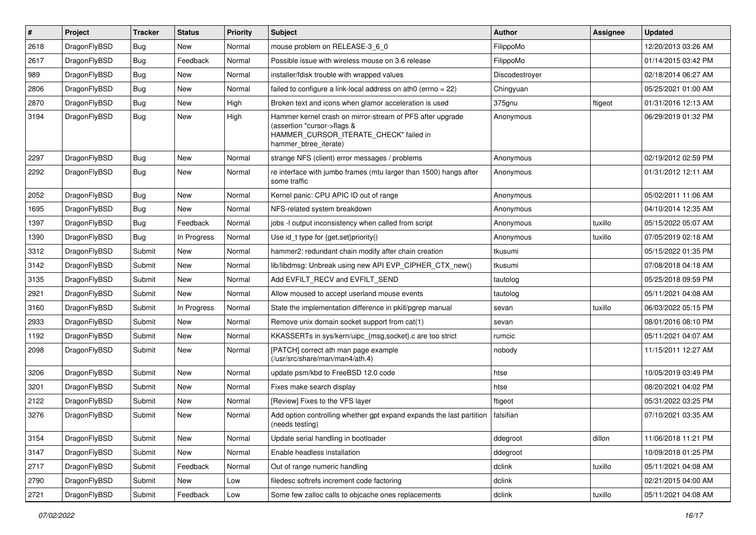| $\sharp$ | Project      | <b>Tracker</b> | <b>Status</b> | <b>Priority</b> | Subject                                                                                                                                                     | <b>Author</b>  | Assignee | <b>Updated</b>      |
|----------|--------------|----------------|---------------|-----------------|-------------------------------------------------------------------------------------------------------------------------------------------------------------|----------------|----------|---------------------|
| 2618     | DragonFlyBSD | Bug            | New           | Normal          | mouse problem on RELEASE-3_6_0                                                                                                                              | FilippoMo      |          | 12/20/2013 03:26 AM |
| 2617     | DragonFlyBSD | Bug            | Feedback      | Normal          | Possible issue with wireless mouse on 3.6 release                                                                                                           | FilippoMo      |          | 01/14/2015 03:42 PM |
| 989      | DragonFlyBSD | <b>Bug</b>     | New           | Normal          | installer/fdisk trouble with wrapped values                                                                                                                 | Discodestroyer |          | 02/18/2014 06:27 AM |
| 2806     | DragonFlyBSD | Bug            | New           | Normal          | failed to configure a link-local address on ath0 (errno = 22)                                                                                               | Chingyuan      |          | 05/25/2021 01:00 AM |
| 2870     | DragonFlyBSD | Bug            | <b>New</b>    | High            | Broken text and icons when glamor acceleration is used                                                                                                      | 375gnu         | ftigeot  | 01/31/2016 12:13 AM |
| 3194     | DragonFlyBSD | Bug            | <b>New</b>    | High            | Hammer kernel crash on mirror-stream of PFS after upgrade<br>(assertion "cursor->flags &<br>HAMMER_CURSOR_ITERATE_CHECK" failed in<br>hammer_btree_iterate) | Anonymous      |          | 06/29/2019 01:32 PM |
| 2297     | DragonFlyBSD | Bug            | <b>New</b>    | Normal          | strange NFS (client) error messages / problems                                                                                                              | Anonymous      |          | 02/19/2012 02:59 PM |
| 2292     | DragonFlyBSD | Bug            | <b>New</b>    | Normal          | re interface with jumbo frames (mtu larger than 1500) hangs after<br>some traffic                                                                           | Anonymous      |          | 01/31/2012 12:11 AM |
| 2052     | DragonFlyBSD | Bug            | New           | Normal          | Kernel panic: CPU APIC ID out of range                                                                                                                      | Anonymous      |          | 05/02/2011 11:06 AM |
| 1695     | DragonFlyBSD | Bug            | New           | Normal          | NFS-related system breakdown                                                                                                                                | Anonymous      |          | 04/10/2014 12:35 AM |
| 1397     | DragonFlyBSD | Bug            | Feedback      | Normal          | jobs -I output inconsistency when called from script                                                                                                        | Anonymous      | tuxillo  | 05/15/2022 05:07 AM |
| 1390     | DragonFlyBSD | Bug            | In Progress   | Normal          | Use id_t type for {get,set}priority()                                                                                                                       | Anonymous      | tuxillo  | 07/05/2019 02:18 AM |
| 3312     | DragonFlyBSD | Submit         | <b>New</b>    | Normal          | hammer2: redundant chain modify after chain creation                                                                                                        | tkusumi        |          | 05/15/2022 01:35 PM |
| 3142     | DragonFlyBSD | Submit         | New           | Normal          | lib/libdmsg: Unbreak using new API EVP CIPHER CTX new()                                                                                                     | tkusumi        |          | 07/08/2018 04:18 AM |
| 3135     | DragonFlyBSD | Submit         | New           | Normal          | Add EVFILT_RECV and EVFILT_SEND                                                                                                                             | tautolog       |          | 05/25/2018 09:59 PM |
| 2921     | DragonFlyBSD | Submit         | New           | Normal          | Allow moused to accept userland mouse events                                                                                                                | tautolog       |          | 05/11/2021 04:08 AM |
| 3160     | DragonFlyBSD | Submit         | In Progress   | Normal          | State the implementation difference in pkill/pgrep manual                                                                                                   | sevan          | tuxillo  | 06/03/2022 05:15 PM |
| 2933     | DragonFlyBSD | Submit         | New           | Normal          | Remove unix domain socket support from cat(1)                                                                                                               | sevan          |          | 08/01/2016 08:10 PM |
| 1192     | DragonFlyBSD | Submit         | <b>New</b>    | Normal          | KKASSERTs in sys/kern/uipc_{msg,socket}.c are too strict                                                                                                    | rumcic         |          | 05/11/2021 04:07 AM |
| 2098     | DragonFlyBSD | Submit         | New           | Normal          | [PATCH] correct ath man page example<br>(/usr/src/share/man/man4/ath.4)                                                                                     | nobody         |          | 11/15/2011 12:27 AM |
| 3206     | DragonFlyBSD | Submit         | <b>New</b>    | Normal          | update psm/kbd to FreeBSD 12.0 code                                                                                                                         | htse           |          | 10/05/2019 03:49 PM |
| 3201     | DragonFlyBSD | Submit         | New           | Normal          | Fixes make search display                                                                                                                                   | htse           |          | 08/20/2021 04:02 PM |
| 2122     | DragonFlyBSD | Submit         | New           | Normal          | [Review] Fixes to the VFS layer                                                                                                                             | ftigeot        |          | 05/31/2022 03:25 PM |
| 3276     | DragonFlyBSD | Submit         | New           | Normal          | Add option controlling whether gpt expand expands the last partition<br>(needs testing)                                                                     | falsifian      |          | 07/10/2021 03:35 AM |
| 3154     | DragonFlyBSD | Submit         | New           | Normal          | Update serial handling in bootloader                                                                                                                        | ddegroot       | dillon   | 11/06/2018 11:21 PM |
| 3147     | DragonFlyBSD | Submit         | New           | Normal          | Enable headless installation                                                                                                                                | ddegroot       |          | 10/09/2018 01:25 PM |
| 2717     | DragonFlyBSD | Submit         | Feedback      | Normal          | Out of range numeric handling                                                                                                                               | dclink         | tuxillo  | 05/11/2021 04:08 AM |
| 2790     | DragonFlyBSD | Submit         | New           | Low             | filedesc softrefs increment code factoring                                                                                                                  | dclink         |          | 02/21/2015 04:00 AM |
| 2721     | DragonFlyBSD | Submit         | Feedback      | Low             | Some few zalloc calls to objcache ones replacements                                                                                                         | dclink         | tuxillo  | 05/11/2021 04:08 AM |